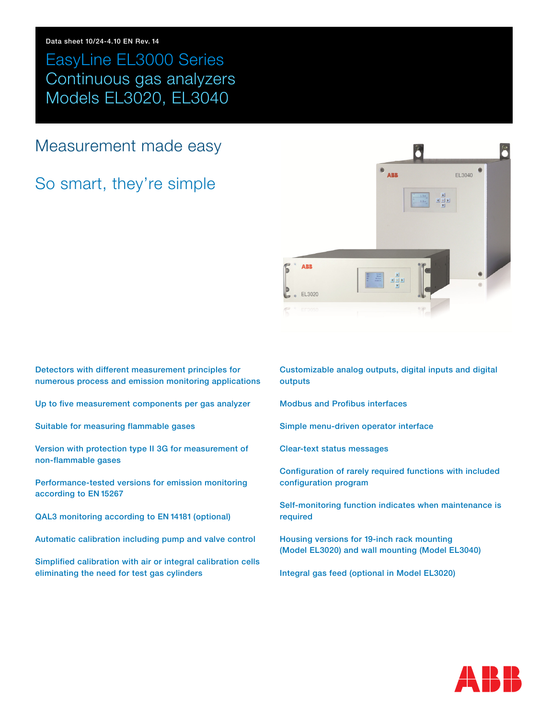EasyLine EL3000 Series Continuous gas analyzers Models EL3020, EL3040

# Measurement made easy

# So smart, they're simple



Detectors with different measurement principles for numerous process and emission monitoring applications

Up to five measurement components per gas analyzer

Suitable for measuring flammable gases

Version with protection type II 3G for measurement of non-flammable gases

Performance-tested versions for emission monitoring according to EN 15267

QAL3 monitoring according to EN 14181 (optional)

Automatic calibration including pump and valve control

Simplified calibration with air or integral calibration cells eliminating the need for test gas cylinders

 Customizable analog outputs, digital inputs and digital outputs

Modbus and Profibus interfaces

Simple menu-driven operator interface

Clear-text status messages

Configuration of rarely required functions with included configuration program

Self-monitoring function indicates when maintenance is required

Housing versions for 19-inch rack mounting (Model EL3020) and wall mounting (Model EL3040)

Integral gas feed (optional in Model EL3020)

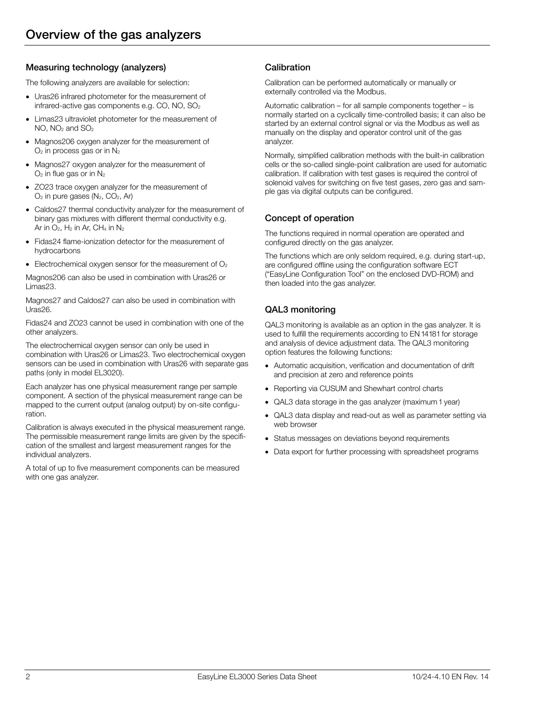# Measuring technology (analyzers)

The following analyzers are available for selection:

- Uras26 infrared photometer for the measurement of infrared-active gas components e.g. CO, NO, SO2
- Limas23 ultraviolet photometer for the measurement of NO, NO<sub>2</sub> and SO<sub>2</sub>
- Magnos206 oxygen analyzer for the measurement of  $O<sub>2</sub>$  in process gas or in  $N<sub>2</sub>$
- Magnos27 oxygen analyzer for the measurement of  $O<sub>2</sub>$  in flue gas or in  $N<sub>2</sub>$
- ZO23 trace oxygen analyzer for the measurement of  $O_2$  in pure gases  $(N_2, CO_2, Ar)$
- Caldos27 thermal conductivity analyzer for the measurement of binary gas mixtures with different thermal conductivity e.g. Ar in  $O_2$ ,  $H_2$  in Ar, CH<sub>4</sub> in  $N_2$
- Fidas24 flame-ionization detector for the measurement of hydrocarbons
- $\bullet$  Electrochemical oxygen sensor for the measurement of  $O<sub>2</sub>$

Magnos206 can also be used in combination with Uras26 or Limas23.

Magnos27 and Caldos27 can also be used in combination with Uras26.

Fidas24 and ZO23 cannot be used in combination with one of the other analyzers.

The electrochemical oxygen sensor can only be used in combination with Uras26 or Limas23. Two electrochemical oxygen sensors can be used in combination with Uras26 with separate gas paths (only in model EL3020).

Each analyzer has one physical measurement range per sample component. A section of the physical measurement range can be mapped to the current output (analog output) by on-site configuration.

Calibration is always executed in the physical measurement range. The permissible measurement range limits are given by the specification of the smallest and largest measurement ranges for the individual analyzers.

A total of up to five measurement components can be measured with one gas analyzer.

# Calibration

Calibration can be performed automatically or manually or externally controlled via the Modbus.

Automatic calibration – for all sample components together – is normally started on a cyclically time-controlled basis; it can also be started by an external control signal or via the Modbus as well as manually on the display and operator control unit of the gas analyzer.

Normally, simplified calibration methods with the built-in calibration cells or the so-called single-point calibration are used for automatic calibration. If calibration with test gases is required the control of solenoid valves for switching on five test gases, zero gas and sample gas via digital outputs can be configured.

# Concept of operation

The functions required in normal operation are operated and configured directly on the gas analyzer.

The functions which are only seldom required, e.g. during start-up, are configured offline using the configuration software ECT ("EasyLine Configuration Tool" on the enclosed DVD-ROM) and then loaded into the gas analyzer.

# QAL3 monitoring

QAL3 monitoring is available as an option in the gas analyzer. It is used to fulfill the requirements according to EN 14181 for storage and analysis of device adjustment data. The QAL3 monitoring option features the following functions:

- Automatic acquisition, verification and documentation of drift and precision at zero and reference points
- Reporting via CUSUM and Shewhart control charts
- QAL3 data storage in the gas analyzer (maximum 1 year)
- QAL3 data display and read-out as well as parameter setting via web browser
- Status messages on deviations beyond requirements
- Data export for further processing with spreadsheet programs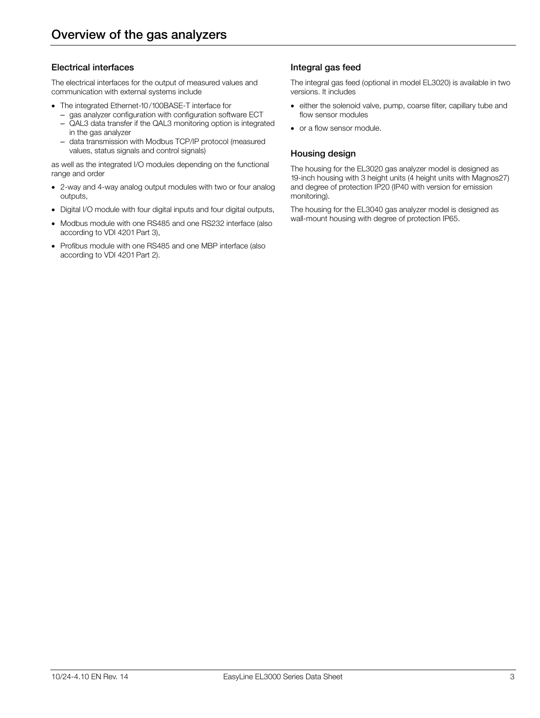### Electrical interfaces

The electrical interfaces for the output of measured values and communication with external systems include

- The integrated Ethernet-10/100BASE-T interface for
	- gas analyzer configuration with configuration software ECT – QAL3 data transfer if the QAL3 monitoring option is integrated
	- in the gas analyzer – data transmission with Modbus TCP/IP protocol (measured
	- values, status signals and control signals)

as well as the integrated I/O modules depending on the functional range and order

- 2-way and 4-way analog output modules with two or four analog outputs,
- Digital I/O module with four digital inputs and four digital outputs,
- Modbus module with one RS485 and one RS232 interface (also according to VDI 4201 Part 3),
- Profibus module with one RS485 and one MBP interface (also according to VDI 4201 Part 2).

### Integral gas feed

The integral gas feed (optional in model EL3020) is available in two versions. It includes

- either the solenoid valve, pump, coarse filter, capillary tube and flow sensor modules
- or a flow sensor module.

# Housing design

The housing for the EL3020 gas analyzer model is designed as 19-inch housing with 3 height units (4 height units with Magnos27) and degree of protection IP20 (IP40 with version for emission monitoring).

The housing for the EL3040 gas analyzer model is designed as wall-mount housing with degree of protection IP65.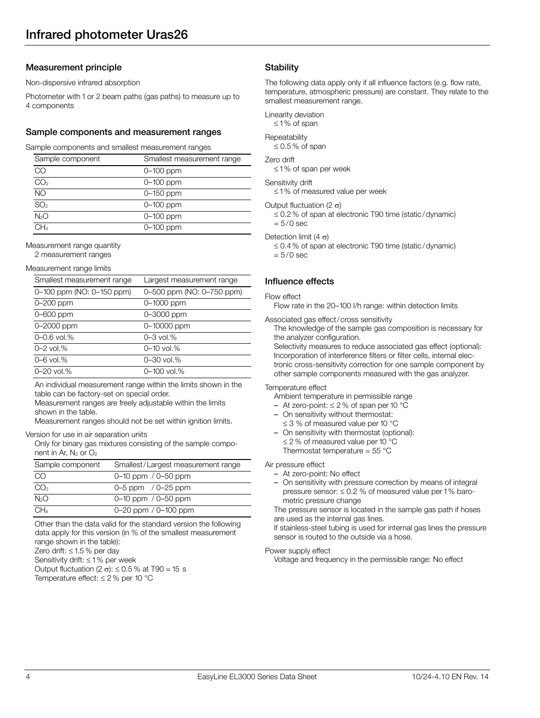Non-dispersive infrared absorption

Photometer with 1 or 2 beam paths (gas paths) to measure up to 4 components

### Sample components and measurement ranges

#### Sample components and smallest measurement ranges

| Sample component | Smallest measurement range |
|------------------|----------------------------|
| CO               | $0 - 100$ ppm              |
| CO <sub>2</sub>  | $0-100$ ppm                |
| <b>NO</b>        | 0-150 ppm                  |
| SO <sub>2</sub>  | $0-100$ ppm                |
| $N2$ O           | $0 - 100$ ppm              |
| CH <sub>4</sub>  | 0-100 ppm                  |
|                  |                            |

#### Measurement range quantity

2 measurement ranges

#### Measurement range limits

| Smallest measurement range | Largest measurement range |
|----------------------------|---------------------------|
| 0-100 ppm (NO: 0-150 ppm)  | 0-500 ppm (NO: 0-750 ppm) |
| 0-200 ppm                  | 0-1000 ppm                |
| 0-600 ppm                  | 0-3000 ppm                |
| 0-2000 ppm                 | 0-10000 ppm               |
| 0-0.6 vol.%                | $0 - 3$ vol.%             |
| $0 - 2$ vol.%              | 0-10 vol.%                |
| 0-6 vol.%                  | 0-30 vol.%                |
| 0-20 vol.%                 | $0 - 100$ vol.%           |

An individual measurement range within the limits shown in the table can be factory-set on special order.

Measurement ranges are freely adjustable within the limits shown in the table.

Measurement ranges should not be set within ignition limits.

#### Version for use in air separation units

Only for binary gas mixtures consisting of the sample component in Ar,  $N_2$  or  $O_2$ 

| Sample component | Smallest/Largest measurement range |
|------------------|------------------------------------|
| CO               | 0-10 ppm / 0-50 ppm                |
| CO <sub>2</sub>  | $0-5$ ppm $/0-25$ ppm              |
| N <sub>2</sub> O | $0-10$ ppm $/0-50$ ppm             |
| CH <sub>4</sub>  | $0 - 20$ ppm / $0 - 100$ ppm       |

Other than the data valid for the standard version the following data apply for this version (in % of the smallest measurement range shown in the table): Zero drift:  $\leq 1.5$  % per day Sensitivity drift:  $\leq 1\%$  per week

Output fluctuation  $(2 \sigma): \leq 0.5 \%$  at T90 = 15 s Temperature effect:  $\leq$  2% per 10 °C

# **Stability**

The following data apply only if all influence factors (e.g. flow rate, temperature, atmospheric pressure) are constant. They relate to the smallest measurement range.

Linearity deviation

- $\leq$  1% of span
- **Repeatability**

 $\leq 0.5\%$  of span

#### Zero drift

 $\leq$  1% of span per week

#### Sensitivity drift

 $\leq$  1% of measured value per week

- Output fluctuation (2  $\sigma$ )
	- $\leq$  0.2 % of span at electronic T90 time (static/dynamic)  $= 5/0$  sec

Detection limit  $(4 \sigma)$ 

 $\leq$  0.4 % of span at electronic T90 time (static/dynamic)  $= 5/0$  sec

# Influence effects

#### Flow effect

Flow rate in the 20–100 l/h range: within detection limits

Associated gas effect/cross sensitivity

The knowledge of the sample gas composition is necessary for the analyzer configuration.

Selectivity measures to reduce associated gas effect (optional): Incorporation of interference filters or filter cells, internal electronic cross-sensitivity correction for one sample component by other sample components measured with the gas analyzer.

Temperature effect

- Ambient temperature in permissible range
- At zero-point:  $\leq$  2% of span per 10 °C
- On sensitivity without thermostat:
- $\leq$  3 % of measured value per 10 °C
- On sensitivity with thermostat (optional):  $\leq$  2% of measured value per 10 °C Thermostat temperature =  $55^{\circ}$ C

Air pressure effect

- At zero-point: No effect
- On sensitivity with pressure correction by means of integral pressure sensor:  $\leq$  0.2 % of measured value per 1% barometric pressure change

The pressure sensor is located in the sample gas path if hoses are used as the internal gas lines.

If stainless-steel tubing is used for internal gas lines the pressure sensor is routed to the outside via a hose.

#### Power supply effect

Voltage and frequency in the permissible range: No effect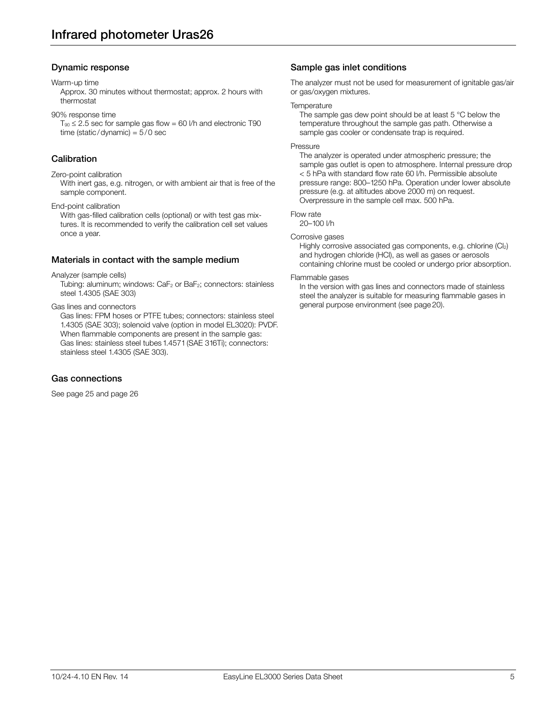# Dynamic response

#### Warm-up time

Approx. 30 minutes without thermostat; approx. 2 hours with thermostat

90% response time

 $T_{90} \le 2.5$  sec for sample gas flow = 60 l/h and electronic T90 time (static/dynamic) = 5/0 sec

# Calibration

Zero-point calibration

With inert gas, e.g. nitrogen, or with ambient air that is free of the sample component.

End-point calibration

With gas-filled calibration cells (optional) or with test gas mixtures. It is recommended to verify the calibration cell set values once a year.

### Materials in contact with the sample medium

Analyzer (sample cells)

Tubing: aluminum; windows: CaF<sub>2</sub> or BaF<sub>2</sub>; connectors: stainless steel 1.4305 (SAE 303)

Gas lines and connectors

Gas lines: FPM hoses or PTFE tubes; connectors: stainless steel 1.4305 (SAE 303); solenoid valve (option in model EL3020): PVDF. When flammable components are present in the sample gas: Gas lines: stainless steel tubes 1.4571 (SAE 316Ti); connectors: stainless steel 1.4305 (SAE 303).

### Gas connections

See page 25 and page 26

### Sample gas inlet conditions

The analyzer must not be used for measurement of ignitable gas/air or gas/oxygen mixtures.

#### **Temperature**

The sample gas dew point should be at least 5 °C below the temperature throughout the sample gas path. Otherwise a sample gas cooler or condensate trap is required.

Pressure

The analyzer is operated under atmospheric pressure; the sample gas outlet is open to atmosphere. Internal pressure drop < 5 hPa with standard flow rate 60 l/h. Permissible absolute pressure range: 800–1250 hPa. Operation under lower absolute pressure (e.g. at altitudes above 2000 m) on request. Overpressure in the sample cell max. 500 hPa.

Flow rate

20–100 l/h

Corrosive gases

Highly corrosive associated gas components, e.g. chlorine (Cl<sub>2</sub>) and hydrogen chloride (HCl), as well as gases or aerosols containing chlorine must be cooled or undergo prior absorption.

#### Flammable gases

In the version with gas lines and connectors made of stainless steel the analyzer is suitable for measuring flammable gases in general purpose environment (see page 20).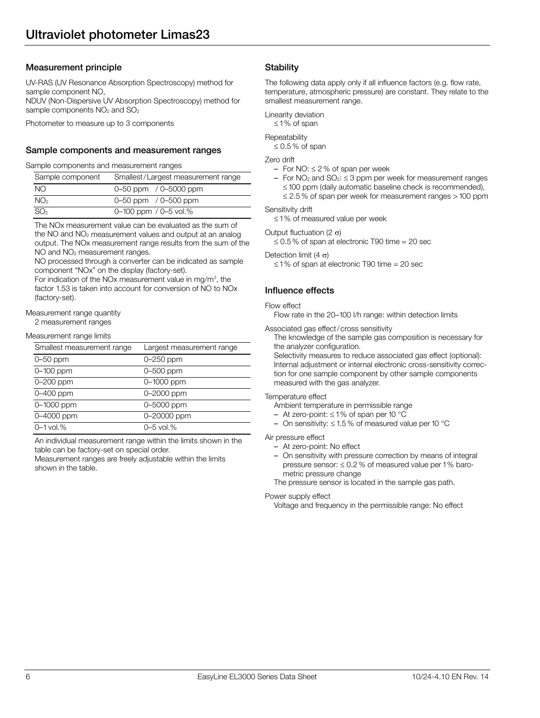UV-RAS (UV Resonance Absorption Spectroscopy) method for sample component NO,

NDUV (Non-Dispersive UV Absorption Spectroscopy) method for sample components NO<sub>2</sub> and SO<sub>2</sub>

Photometer to measure up to 3 components

### Sample components and measurement ranges

Sample components and measurement ranges

| Sample component | Smallest/Largest measurement range |
|------------------|------------------------------------|
| NO.              | 0-50 ppm / 0-5000 ppm              |
| NO <sub>2</sub>  | $0 - 50$ ppm $/ 0 - 500$ ppm       |
| SO <sub>2</sub>  | 0-100 ppm / 0-5 vol.%              |

The NOx measurement value can be evaluated as the sum of the NO and NO2 measurement values and output at an analog output. The NOx measurement range results from the sum of the NO and NO<sub>2</sub> measurement ranges.

NO processed through a converter can be indicated as sample component "NOx" on the display (factory-set).

For indication of the NOx measurement value in mg/m<sup>3</sup>, the factor 1.53 is taken into account for conversion of NO to NOx (factory-set).

#### Measurement range quantity

2 measurement ranges

#### Measurement range limits

| Smallest measurement range | Largest measurement range |
|----------------------------|---------------------------|
| 0-50 ppm                   | 0-250 ppm                 |
| 0-100 ppm                  | 0-500 ppm                 |
| 0-200 ppm                  | 0-1000 ppm                |
| 0-400 ppm                  | 0-2000 ppm                |
| 0-1000 ppm                 | 0-5000 ppm                |
| 0-4000 ppm                 | 0-20000 ppm               |
| $0 - 1$ vol.%              | $0 - 5$ vol.%             |

An individual measurement range within the limits shown in the table can be factory-set on special order.

Measurement ranges are freely adjustable within the limits shown in the table.

# **Stability**

The following data apply only if all influence factors (e.g. flow rate, temperature, atmospheric pressure) are constant. They relate to the smallest measurement range.

Linearity deviation

 $\leq$  1% of span

#### **Repeatability**

 $\leq 0.5\%$  of span

Zero drift

- For NO:  $\leq$  2 % of span per week
- For  $NO<sub>2</sub>$  and  $SO<sub>2</sub>$ :  $\leq$  3 ppm per week for measurement ranges  $\leq$  100 ppm (daily automatic baseline check is recommended),  $\leq$  2.5 % of span per week for measurement ranges  $>$  100 ppm

Sensitivity drift

 $\leq$  1% of measured value per week

#### Output fluctuation  $(2 \sigma)$

 $\leq$  0.5 % of span at electronic T90 time = 20 sec

Detection limit (4  $\sigma$ )

 $\leq$  1% of span at electronic T90 time = 20 sec

# Influence effects

#### Flow effect

Flow rate in the 20–100 l/h range: within detection limits

Associated gas effect/cross sensitivity

The knowledge of the sample gas composition is necessary for the analyzer configuration.

Selectivity measures to reduce associated gas effect (optional): Internal adjustment or internal electronic cross-sensitivity correction for one sample component by other sample components measured with the gas analyzer.

#### Temperature effect

Ambient temperature in permissible range

- At zero-point:  $\leq 1\%$  of span per 10 °C
- On sensitivity:  $\leq 1.5$ % of measured value per 10 °C

### Air pressure effect

- At zero-point: No effect
- On sensitivity with pressure correction by means of integral pressure sensor:  $\leq 0.2$ % of measured value per 1% barometric pressure change

The pressure sensor is located in the sample gas path.

#### Power supply effect

Voltage and frequency in the permissible range: No effect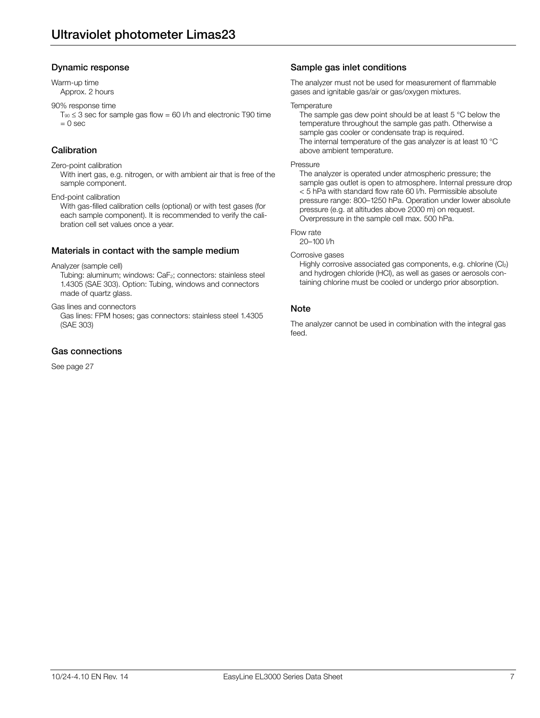# Dynamic response

Warm-up time Approx. 2 hours

#### 90% response time

 $T_{90} \leq 3$  sec for sample gas flow = 60 l/h and electronic T90 time  $= 0$  sec

### Calibration

#### Zero-point calibration

With inert gas, e.g. nitrogen, or with ambient air that is free of the sample component.

End-point calibration

With gas-filled calibration cells (optional) or with test gases (for each sample component). It is recommended to verify the calibration cell set values once a year.

### Materials in contact with the sample medium

Analyzer (sample cell)

Tubing: aluminum; windows: CaF2; connectors: stainless steel 1.4305 (SAE 303). Option: Tubing, windows and connectors made of quartz glass.

Gas lines and connectors

Gas lines: FPM hoses; gas connectors: stainless steel 1.4305 (SAE 303)

# Gas connections

See page 27

### Sample gas inlet conditions

The analyzer must not be used for measurement of flammable gases and ignitable gas/air or gas/oxygen mixtures.

#### **Temperature**

The sample gas dew point should be at least 5 °C below the temperature throughout the sample gas path. Otherwise a sample gas cooler or condensate trap is required. The internal temperature of the gas analyzer is at least 10 °C above ambient temperature.

#### Pressure

The analyzer is operated under atmospheric pressure; the sample gas outlet is open to atmosphere. Internal pressure drop < 5 hPa with standard flow rate 60 l/h. Permissible absolute pressure range: 800–1250 hPa. Operation under lower absolute pressure (e.g. at altitudes above 2000 m) on request. Overpressure in the sample cell max. 500 hPa.

#### Flow rate

20–100 l/h

#### Corrosive gases

Highly corrosive associated gas components, e.g. chlorine (Cl2) and hydrogen chloride (HCl), as well as gases or aerosols containing chlorine must be cooled or undergo prior absorption.

# Note

The analyzer cannot be used in combination with the integral gas feed.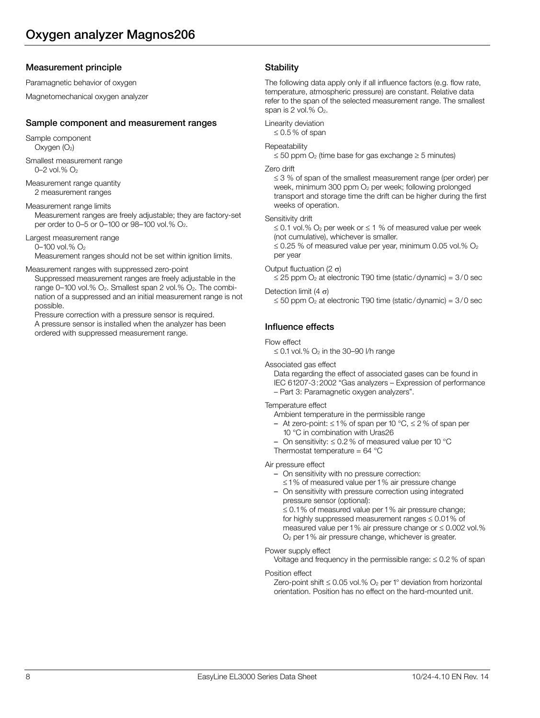Paramagnetic behavior of oxygen

Magnetomechanical oxygen analyzer

### Sample component and measurement ranges

Sample component Oxygen  $(O_2)$ 

Smallest measurement range 0–2 vol.% O2

Measurement range quantity 2 measurement ranges

Measurement range limits

Measurement ranges are freely adjustable; they are factory-set per order to 0–5 or 0–100 or 98–100 vol.% O2.

Largest measurement range 0-100 vol.% O<sub>2</sub>

Measurement ranges should not be set within ignition limits.

Measurement ranges with suppressed zero-point

Suppressed measurement ranges are freely adjustable in the range  $0-100$  vol.%  $O_2$ . Smallest span 2 vol.%  $O_2$ . The combination of a suppressed and an initial measurement range is not possible.

Pressure correction with a pressure sensor is required. A pressure sensor is installed when the analyzer has been ordered with suppressed measurement range.

# **Stability**

The following data apply only if all influence factors (e.g. flow rate, temperature, atmospheric pressure) are constant. Relative data refer to the span of the selected measurement range. The smallest span is  $2$  vol.%  $O<sub>2</sub>$ .

Linearity deviation  $\leq 0.5\%$  of span

**Repeatability** 

 $\leq$  50 ppm O<sub>2</sub> (time base for gas exchange  $\geq$  5 minutes)

Zero drift

 $\leq$  3 % of span of the smallest measurement range (per order) per week, minimum 300 ppm  $O<sub>2</sub>$  per week; following prolonged transport and storage time the drift can be higher during the first weeks of operation.

Sensitivity drift

 $\leq$  0.1 vol.% O<sub>2</sub> per week or  $\leq$  1 % of measured value per week (not cumulative), whichever is smaller.

 $\leq$  0.25 % of measured value per year, minimum 0.05 vol.% O<sub>2</sub> per year

Output fluctuation (2  $\sigma$ )

 $\leq$  25 ppm  $O_2$  at electronic T90 time (static/dynamic) = 3/0 sec

Detection limit (4  $\sigma$ )

 $\leq$  50 ppm  $O_2$  at electronic T90 time (static/dynamic) = 3/0 sec

# Influence effects

#### Flow effect

 $\leq$  0.1 vol.% O<sub>2</sub> in the 30–90 l/h range

Associated gas effect

Data regarding the effect of associated gases can be found in IEC 61207-3:2002 "Gas analyzers – Expression of performance – Part 3: Paramagnetic oxygen analyzers".

#### Temperature effect

- Ambient temperature in the permissible range
- At zero-point:  $\leq 1\%$  of span per 10 °C,  $\leq 2\%$  of span per 10 °C in combination with Uras26
- On sensitivity:  $\leq 0.2$  % of measured value per 10 °C Thermostat temperature =  $64^{\circ}$ C

### Air pressure effect

– On sensitivity with no pressure correction:

- $\leq$  1% of measured value per 1% air pressure change
- On sensitivity with pressure correction using integrated pressure sensor (optional):

 $\leq$  0.1% of measured value per 1% air pressure change; for highly suppressed measurement ranges  $\leq 0.01\%$  of measured value per 1% air pressure change or  $\leq$  0.002 vol.% O2 per 1 % air pressure change, whichever is greater.

#### Power supply effect

Voltage and frequency in the permissible range:  $\leq 0.2$  % of span

#### Position effect

Zero-point shift  $\leq 0.05$  vol.% O<sub>2</sub> per 1° deviation from horizontal orientation. Position has no effect on the hard-mounted unit.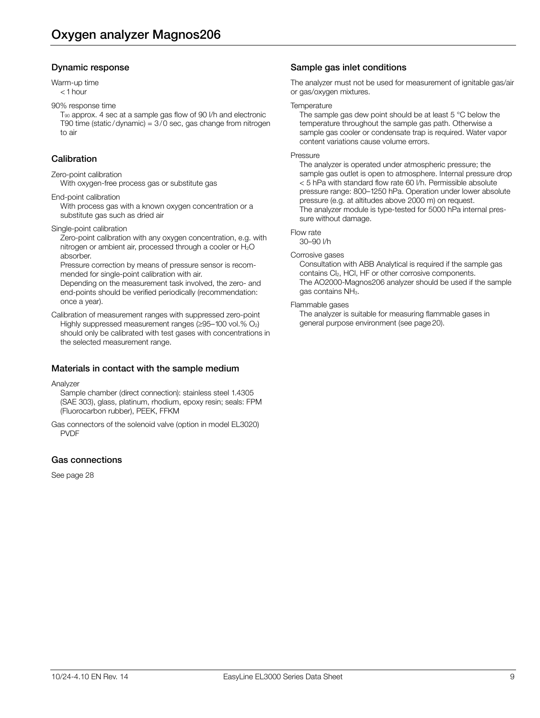### Dynamic response

Warm-up time  $< 1$  hour

#### 90% response time

T90 approx. 4 sec at a sample gas flow of 90 l/h and electronic T90 time (static/dynamic) = 3/0 sec, gas change from nitrogen to air

# Calibration

Zero-point calibration

With oxygen-free process gas or substitute gas

End-point calibration

With process gas with a known oxygen concentration or a substitute gas such as dried air

Single-point calibration

Zero-point calibration with any oxygen concentration, e.g. with nitrogen or ambient air, processed through a cooler or  $H_2O$ absorber.

Pressure correction by means of pressure sensor is recommended for single-point calibration with air.

Depending on the measurement task involved, the zero- and end-points should be verified periodically (recommendation: once a year).

Calibration of measurement ranges with suppressed zero-point Highly suppressed measurement ranges ( $\geq$ 95–100 vol.% O<sub>2</sub>) should only be calibrated with test gases with concentrations in the selected measurement range.

### Materials in contact with the sample medium

Analyzer

Sample chamber (direct connection): stainless steel 1.4305 (SAE 303), glass, platinum, rhodium, epoxy resin; seals: FPM (Fluorocarbon rubber), PEEK, FFKM

Gas connectors of the solenoid valve (option in model EL3020) **PVDF** 

### Gas connections

See page 28

### Sample gas inlet conditions

The analyzer must not be used for measurement of ignitable gas/air or gas/oxygen mixtures.

#### **Temperature**

The sample gas dew point should be at least 5 °C below the temperature throughout the sample gas path. Otherwise a sample gas cooler or condensate trap is required. Water vapor content variations cause volume errors.

Pressure

The analyzer is operated under atmospheric pressure; the sample gas outlet is open to atmosphere. Internal pressure drop < 5 hPa with standard flow rate 60 l/h. Permissible absolute pressure range: 800–1250 hPa. Operation under lower absolute pressure (e.g. at altitudes above 2000 m) on request. The analyzer module is type-tested for 5000 hPa internal pressure without damage.

Flow rate

30–90 l/h

#### Corrosive gases

Consultation with ABB Analytical is required if the sample gas contains Cl2, HCl, HF or other corrosive components. The AO2000-Magnos206 analyzer should be used if the sample gas contains NH3.

#### Flammable gases

The analyzer is suitable for measuring flammable gases in general purpose environment (see page 20).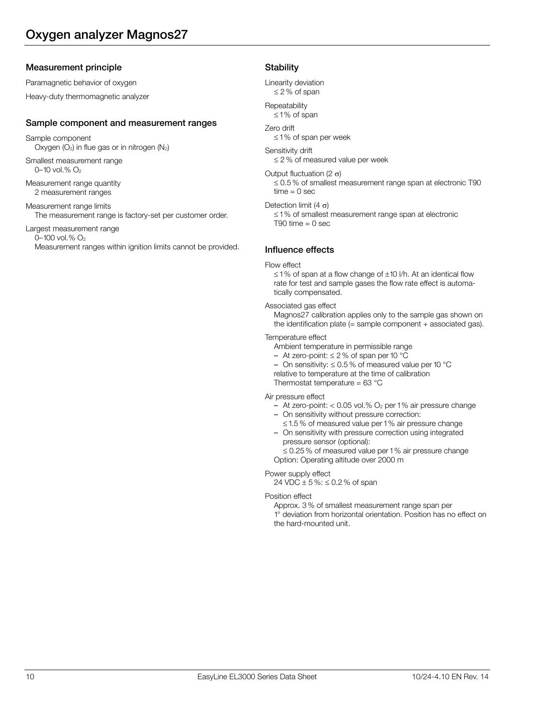Paramagnetic behavior of oxygen

Heavy-duty thermomagnetic analyzer

# Sample component and measurement ranges

Sample component Oxygen  $(O_2)$  in flue gas or in nitrogen  $(N_2)$ 

Smallest measurement range 0–10 vol.% O2

Measurement range quantity 2 measurement ranges

Measurement range limits The measurement range is factory-set per customer order.

Largest measurement range 0–100 vol.% O2

Measurement ranges within ignition limits cannot be provided.

### **Stability**

Linearity deviation  $\leq$  2% of span

Repeatability  $\leq$  1% of span

# Zero drift

 $\leq$  1% of span per week

# Sensitivity drift

 $\leq$  2% of measured value per week

### Output fluctuation (2  $\sigma$ )

 $\leq$  0.5 % of smallest measurement range span at electronic T90  $time = 0$  sec

#### Detection limit (4  $\sigma$ )

 $\leq$  1% of smallest measurement range span at electronic T90 time  $= 0$  sec

# Influence effects

#### Flow effect

 $\leq$  1% of span at a flow change of  $\pm$  10 l/h. At an identical flow rate for test and sample gases the flow rate effect is automatically compensated.

#### Associated gas effect

Magnos27 calibration applies only to the sample gas shown on the identification plate (= sample component + associated gas).

#### Temperature effect

Ambient temperature in permissible range

- At zero-point:  $\leq$  2% of span per 10 °C
- On sensitivity:  $\leq 0.5$  % of measured value per 10 °C

relative to temperature at the time of calibration Thermostat temperature =  $63^{\circ}$ C

Air pressure effect

- $-$  At zero-point:  $< 0.05$  vol.% O<sub>2</sub> per 1% air pressure change
- On sensitivity without pressure correction:  $\leq$  1.5 % of measured value per 1 % air pressure change
- On sensitivity with pressure correction using integrated pressure sensor (optional):

 $\leq$  0.25 % of measured value per 1 % air pressure change Option: Operating altitude over 2000 m

### Power supply effect

24 VDC  $\pm$  5%:  $\leq$  0.2% of span

### Position effect

Approx. 3 % of smallest measurement range span per 1° deviation from horizontal orientation. Position has no effect on the hard-mounted unit.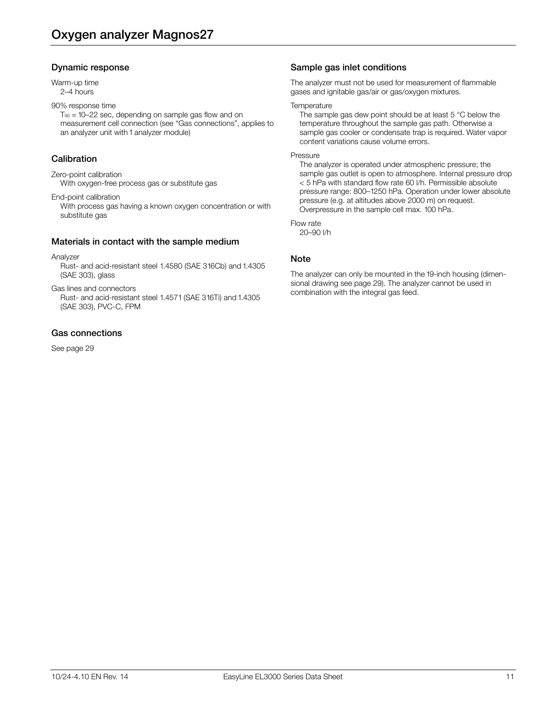# Dynamic response

Warm-up time 2–4 hours

#### 90% response time

 $T_{90}$  = 10–22 sec, depending on sample gas flow and on measurement cell connection (see "Gas connections", applies to an analyzer unit with 1 analyzer module)

# **Calibration**

Zero-point calibration

With oxygen-free process gas or substitute gas

End-point calibration

With process gas having a known oxygen concentration or with substitute gas

### Materials in contact with the sample medium

Analyzer

Rust- and acid-resistant steel 1.4580 (SAE 316Cb) and 1.4305 (SAE 303), glass

Gas lines and connectors

Rust- and acid-resistant steel 1.4571 (SAE 316Ti) and 1.4305 (SAE 303), PVC-C, FPM

# Gas connections

See page 29

### Sample gas inlet conditions

The analyzer must not be used for measurement of flammable gases and ignitable gas/air or gas/oxygen mixtures.

#### **Temperature**

The sample gas dew point should be at least 5 °C below the temperature throughout the sample gas path. Otherwise a sample gas cooler or condensate trap is required. Water vapor content variations cause volume errors.

Pressure

The analyzer is operated under atmospheric pressure; the sample gas outlet is open to atmosphere. Internal pressure drop < 5 hPa with standard flow rate 60 l/h. Permissible absolute pressure range: 800–1250 hPa. Operation under lower absolute pressure (e.g. at altitudes above 2000 m) on request. Overpressure in the sample cell max. 100 hPa.

Flow rate 20–90 l/h

### **Note**

The analyzer can only be mounted in the 19-inch housing (dimensional drawing see page 29). The analyzer cannot be used in combination with the integral gas feed.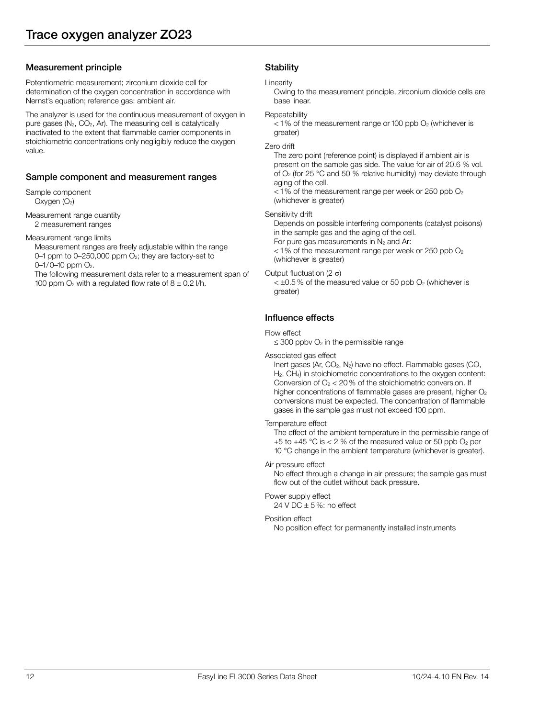Potentiometric measurement; zirconium dioxide cell for determination of the oxygen concentration in accordance with Nernst's equation; reference gas: ambient air.

The analyzer is used for the continuous measurement of oxygen in pure gases  $(N_2, CO_2, Ar)$ . The measuring cell is catalytically inactivated to the extent that flammable carrier components in stoichiometric concentrations only negligibly reduce the oxygen value.

### Sample component and measurement ranges

Sample component Oxygen (O<sub>2</sub>)

Measurement range quantity 2 measurement ranges

Measurement range limits

Measurement ranges are freely adjustable within the range 0–1 ppm to 0–250,000 ppm  $O_2$ ; they are factory-set to 0-1/0-10 ppm O<sub>2</sub>.

The following measurement data refer to a measurement span of 100 ppm  $O_2$  with a regulated flow rate of  $8 \pm 0.2$  I/h.

# **Stability**

#### Linearity

Owing to the measurement principle, zirconium dioxide cells are base linear.

#### **Repeatability**

 $<$  1% of the measurement range or 100 ppb  $O<sub>2</sub>$  (whichever is greater)

#### Zero drift

The zero point (reference point) is displayed if ambient air is present on the sample gas side. The value for air of 20.6 % vol. of O2 (for 25 °C and 50 % relative humidity) may deviate through aging of the cell.

 $<$  1% of the measurement range per week or 250 ppb  $O<sub>2</sub>$ (whichever is greater)

#### Sensitivity drift

Depends on possible interfering components (catalyst poisons) in the sample gas and the aging of the cell.

For pure gas measurements in  $N_2$  and Ar:

 $<$  1% of the measurement range per week or 250 ppb  $O<sub>2</sub>$ (whichever is greater)

#### Output fluctuation (2  $\sigma$ )

 $<$  ±0.5 % of the measured value or 50 ppb  $O<sub>2</sub>$  (whichever is greater)

# Influence effects

#### Flow effect

 $\leq$  300 ppbv  $O_2$  in the permissible range

#### Associated gas effect

Inert gases (Ar, CO<sub>2</sub>, N<sub>2</sub>) have no effect. Flammable gases (CO, H2, CH4) in stoichiometric concentrations to the oxygen content: Conversion of  $O<sub>2</sub> < 20$ % of the stoichiometric conversion. If higher concentrations of flammable gases are present, higher O<sub>2</sub> conversions must be expected. The concentration of flammable gases in the sample gas must not exceed 100 ppm.

#### Temperature effect

The effect of the ambient temperature in the permissible range of +5 to +45  $\degree$ C is < 2 % of the measured value or 50 ppb  $O_2$  per 10 °C change in the ambient temperature (whichever is greater).

### Air pressure effect

No effect through a change in air pressure; the sample gas must flow out of the outlet without back pressure.

### Power supply effect

24 V DC  $\pm$  5%: no effect

#### Position effect

No position effect for permanently installed instruments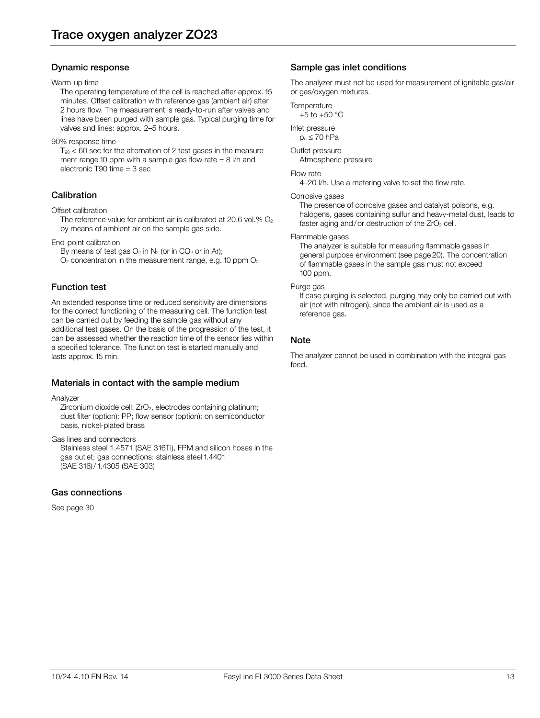### Dynamic response

#### Warm-up time

The operating temperature of the cell is reached after approx. 15 minutes. Offset calibration with reference gas (ambient air) after 2 hours flow. The measurement is ready-to-run after valves and lines have been purged with sample gas. Typical purging time for valves and lines: approx. 2–5 hours.

90% response time

 $T_{90}$  < 60 sec for the alternation of 2 test gases in the measurement range 10 ppm with a sample gas flow rate  $= 8$  I/h and electronic T90 time = 3 sec

### Calibration

Offset calibration

The reference value for ambient air is calibrated at 20.6 vol.%  $O<sub>2</sub>$ by means of ambient air on the sample gas side.

End-point calibration

By means of test gas  $O_2$  in N<sub>2</sub> (or in CO<sub>2</sub> or in Ar);

 $O<sub>2</sub>$  concentration in the measurement range, e.g. 10 ppm  $O<sub>2</sub>$ 

# Function test

An extended response time or reduced sensitivity are dimensions for the correct functioning of the measuring cell. The function test can be carried out by feeding the sample gas without any additional test gases. On the basis of the progression of the test, it can be assessed whether the reaction time of the sensor lies within a specified tolerance. The function test is started manually and lasts approx. 15 min.

### Materials in contact with the sample medium

Analyzer

Zirconium dioxide cell: ZrO<sub>2</sub>, electrodes containing platinum; dust filter (option): PP; flow sensor (option): on semiconductor basis, nickel-plated brass

Gas lines and connectors

Stainless steel 1.4571 (SAE 316Ti), FPM and silicon hoses in the gas outlet; gas connections: stainless steel 1.4401 (SAE 316)/1.4305 (SAE 303)

### Gas connections

See page 30

### Sample gas inlet conditions

The analyzer must not be used for measurement of ignitable gas/air or gas/oxygen mixtures.

**Temperature**  $+5$  to  $+50$  °C

Inlet pressure

 $p_e \le 70$  hPa

Outlet pressure Atmospheric pressure

#### Flow rate

4–20 l/h. Use a metering valve to set the flow rate.

Corrosive gases

The presence of corrosive gases and catalyst poisons, e.g. halogens, gases containing sulfur and heavy-metal dust, leads to faster aging and/or destruction of the  $ZrO<sub>2</sub>$  cell.

#### Flammable gases

The analyzer is suitable for measuring flammable gases in general purpose environment (see page 20). The concentration of flammable gases in the sample gas must not exceed 100 ppm.

#### Purge gas

If case purging is selected, purging may only be carried out with air (not with nitrogen), since the ambient air is used as a reference gas.

### Note

The analyzer cannot be used in combination with the integral gas feed.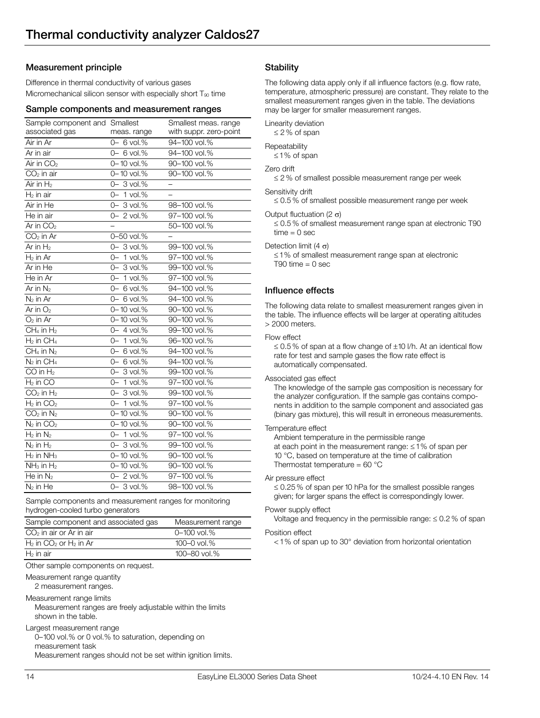Difference in thermal conductivity of various gases Micromechanical silicon sensor with especially short T<sub>90</sub> time

#### Sample components and measurement ranges

| Sample component and Smallest |                         | Smallest meas. range   |
|-------------------------------|-------------------------|------------------------|
| associated gas                | meas. range             | with suppr. zero-point |
| Air in Ar                     | 0- 6 vol.%              | 94-100 vol.%           |
| Ar in air                     | $0 - 6$ vol.%           | 94-100 vol.%           |
| Air in CO <sub>2</sub>        | $0 - 10$ vol.%          | 90-100 vol.%           |
| $CO2$ in air                  | 0-10 vol.%              | 90-100 vol.%           |
| Air in $H_2$                  | $0 - 3$ vol.%           |                        |
| $H_2$ in air                  | 0- 1 vol.%              |                        |
| Air in He                     | 0-3 vol.%               | 98-100 vol.%           |
| He in air                     | $0 - 2$ vol.%           | 97-100 vol.%           |
| Ar in $CO2$                   |                         | 50-100 vol.%           |
| $CO2$ in Ar                   | 0-50 vol.%              |                        |
| Ar in $H_2$                   | $\overline{0-}$ 3 vol.% | 99-100 vol.%           |
| $H_2$ in Ar                   | $0 - 1$ vol.%           | 97-100 vol.%           |
| Ar in He                      | $0 - 3$ vol.%           | 99-100 vol.%           |
| He in Ar                      | 0- 1 vol.%              | 97-100 vol.%           |
| Ar in $N_2$                   | 0- 6 vol.%              | 94-100 vol.%           |
| $N_2$ in Ar                   | $0 - 6$ vol.%           | 94-100 vol.%           |
| Ar in $O2$                    | 0-10 vol.%              | 90-100 vol.%           |
| $O2$ in Ar                    | 0-10 vol.%              | 90-100 vol.%           |
| $CH_4$ in $H_2$               | $0 - 4$ vol.%           | 99-100 vol.%           |
| $H_2$ in $CH_4$               | $0 - 1$ vol.%           | 96-100 vol.%           |
| $CH_4$ in $N_2$               | 0- 6 vol.%              | 94-100 vol.%           |
| $N_2$ in $CH_4$               | 0- 6 vol.%              | 94-100 vol.%           |
| CO in $H_2$                   | 0- 3 vol.%              | 99-100 vol.%           |
| $H_2$ in CO                   | $0 - 1$ vol.%           | 97-100 vol.%           |
| $CO2$ in $H2$                 | 0-3 vol.%               | 99-100 vol.%           |
| $H_2$ in $CO_2$               | $0 - 1$ vol.%           | 97-100 vol.%           |
| $CO2$ in $N2$                 | 0-10 vol.%              | 90-100 vol.%           |
| $N_2$ in $CO_2$               | $0 - 10$ vol.%          | 90-100 vol.%           |
| $H_2$ in $N_2$                | $\overline{0-}$ 1 vol.% | 97-100 vol.%           |
| $N_2$ in $H_2$                | 0-3 vol.%               | 99-100 vol.%           |
| $H_2$ in $NH_3$               | 0-10 vol.%              | 90-100 vol.%           |
| $NH3$ in $H2$                 | 0-10 vol.%              | 90-100 vol.%           |
| He in $N_2$                   | 0-2 vol.%               | 97-100 vol.%           |
| $N2$ in He                    | $0 - 3$ vol.%           | 98-100 vol.%           |

Sample components and measurement ranges for monitoring hydrogen-cooled turbo generators

| Sample component and associated gas     | Measurement range |
|-----------------------------------------|-------------------|
| $CO2$ in air or Ar in air               | 0-100 vol.%       |
| $H_2$ in CO <sub>2</sub> or $H_2$ in Ar | 100 $-0$ vol.%    |
| $H_2$ in air                            | 100–80 vol. $%$   |

Other sample components on request.

Measurement range quantity

2 measurement ranges.

Measurement range limits

Measurement ranges are freely adjustable within the limits shown in the table.

Largest measurement range

0–100 vol.% or 0 vol.% to saturation, depending on measurement task

Measurement ranges should not be set within ignition limits.

# **Stability**

The following data apply only if all influence factors (e.g. flow rate, temperature, atmospheric pressure) are constant. They relate to the smallest measurement ranges given in the table. The deviations may be larger for smaller measurement ranges.

Linearity deviation  $\leq$  2% of span

**Repeatability**  $\leq$  1% of span

### Zero drift

 $\leq$  2% of smallest possible measurement range per week

#### Sensitivity drift

 $\leq$  0.5 % of smallest possible measurement range per week

#### Output fluctuation (2  $\sigma$ )

 $\leq$  0.5 % of smallest measurement range span at electronic T90  $time = 0$  sec

Detection limit (4  $\sigma$ )

 $1\%$  of smallest measurement range span at electronic T90 time  $= 0$  sec

# Influence effects

The following data relate to smallest measurement ranges given in the table. The influence effects will be larger at operating altitudes > 2000 meters.

#### Flow effect

 $\leq$  0.5 % of span at a flow change of  $\pm$ 10 l/h. At an identical flow rate for test and sample gases the flow rate effect is automatically compensated.

#### Associated gas effect

The knowledge of the sample gas composition is necessary for the analyzer configuration. If the sample gas contains components in addition to the sample component and associated gas (binary gas mixture), this will result in erroneous measurements.

#### Temperature effect

Ambient temperature in the permissible range at each point in the measurement range:  $\leq 1\%$  of span per 10 °C, based on temperature at the time of calibration Thermostat temperature =  $60^{\circ}$ C

#### Air pressure effect

 $\leq$  0.25 % of span per 10 hPa for the smallest possible ranges given; for larger spans the effect is correspondingly lower.

# Power supply effect

Voltage and frequency in the permissible range:  $\leq 0.2$  % of span

#### Position effect

 $<$  1% of span up to 30 $^{\circ}$  deviation from horizontal orientation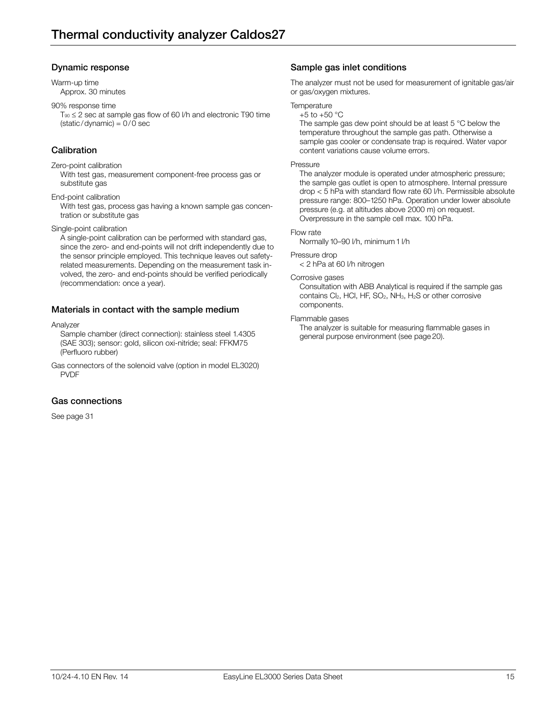# Dynamic response

Warm-up time Approx. 30 minutes

#### 90% response time

 $T_{90} \le 2$  sec at sample gas flow of 60 l/h and electronic T90 time  $(static/dynamic) = 0/0 sec$ 

### Calibration

#### Zero-point calibration

With test gas, measurement component-free process gas or substitute gas

#### End-point calibration

With test gas, process gas having a known sample gas concentration or substitute gas

#### Single-point calibration

A single-point calibration can be performed with standard gas, since the zero- and end-points will not drift independently due to the sensor principle employed. This technique leaves out safetyrelated measurements. Depending on the measurement task involved, the zero- and end-points should be verified periodically (recommendation: once a year).

### Materials in contact with the sample medium

Analyzer

Sample chamber (direct connection): stainless steel 1.4305 (SAE 303); sensor: gold, silicon oxi-nitride; seal: FFKM75 (Perfluoro rubber)

Gas connectors of the solenoid valve (option in model EL3020) **PVDF** 

### Gas connections

See page 31

### Sample gas inlet conditions

The analyzer must not be used for measurement of ignitable gas/air or gas/oxygen mixtures.

### **Temperature**

 $+5$  to  $+50$  °C

The sample gas dew point should be at least 5 °C below the temperature throughout the sample gas path. Otherwise a sample gas cooler or condensate trap is required. Water vapor content variations cause volume errors.

#### **Pressure**

The analyzer module is operated under atmospheric pressure; the sample gas outlet is open to atmosphere. Internal pressure drop < 5 hPa with standard flow rate 60 l/h. Permissible absolute pressure range: 800–1250 hPa. Operation under lower absolute pressure (e.g. at altitudes above 2000 m) on request. Overpressure in the sample cell max. 100 hPa.

#### Flow rate

Normally 10–90 l/h, minimum 1 l/h

#### Pressure drop

< 2 hPa at 60 l/h nitrogen

#### Corrosive gases

Consultation with ABB Analytical is required if the sample gas contains  $Cl_2$ , HCl, HF,  $SO_2$ , NH<sub>3</sub>, H<sub>2</sub>S or other corrosive components.

#### Flammable gases

The analyzer is suitable for measuring flammable gases in general purpose environment (see page 20).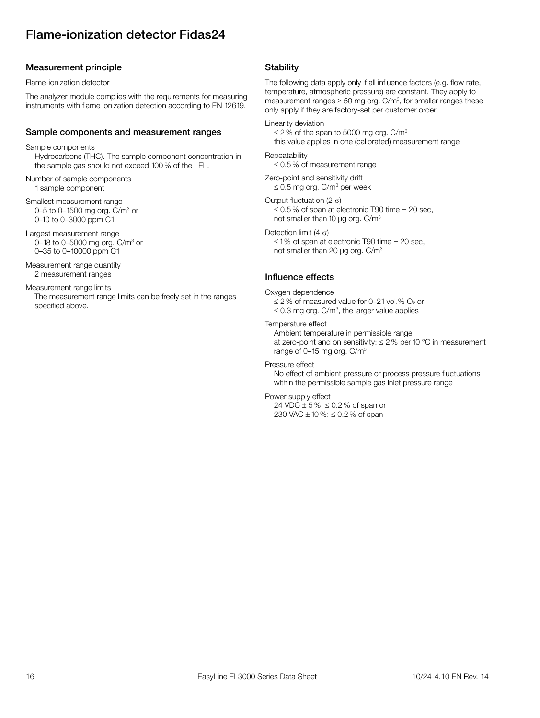Flame-ionization detector

The analyzer module complies with the requirements for measuring instruments with flame ionization detection according to EN 12619.

### Sample components and measurement ranges

Sample components

Hydrocarbons (THC). The sample component concentration in the sample gas should not exceed 100 % of the LEL.

Number of sample components 1 sample component

Smallest measurement range 0–5 to 0–1500 mg org. C/m<sup>3</sup> or 0–10 to 0–3000 ppm C1

Largest measurement range 0–18 to 0–5000 mg org. C/m<sup>3</sup> or 0–35 to 0–10000 ppm C1

Measurement range quantity 2 measurement ranges

Measurement range limits The measurement range limits can be freely set in the ranges specified above.

# **Stability**

The following data apply only if all influence factors (e.g. flow rate, temperature, atmospheric pressure) are constant. They apply to measurement ranges  $\geq 50$  mg org. C/m<sup>3</sup>, for smaller ranges these only apply if they are factory-set per customer order.

#### Linearity deviation

 $\leq$  2% of the span to 5000 mg org. C/m<sup>3</sup> this value applies in one (calibrated) measurement range

### **Repeatability**

 $\leq$  0.5 % of measurement range

Zero-point and sensitivity drift  $\leq$  0.5 mg org. C/m<sup>3</sup> per week

Output fluctuation (2  $\sigma$ )

 $\leq$  0.5 % of span at electronic T90 time = 20 sec, not smaller than 10 μg org. C/m3

Detection limit (4  $\sigma$ )

 $\leq$  1% of span at electronic T90 time = 20 sec, not smaller than 20 μg org. C/m3

# Influence effects

Oxygen dependence

 $\leq$  2% of measured value for 0–21 vol.% O<sub>2</sub> or  $\leq$  0.3 mg org. C/m<sup>3</sup>, the larger value applies

#### Temperature effect

Ambient temperature in permissible range at zero-point and on sensitivity:  $\leq$  2 % per 10 °C in measurement range of 0–15 mg org. C/m<sup>3</sup>

Pressure effect

No effect of ambient pressure or process pressure fluctuations within the permissible sample gas inlet pressure range

### Power supply effect

24 VDC  $\pm$  5%:  $\leq$  0.2% of span or 230 VAC  $\pm$  10 %:  $\leq$  0.2 % of span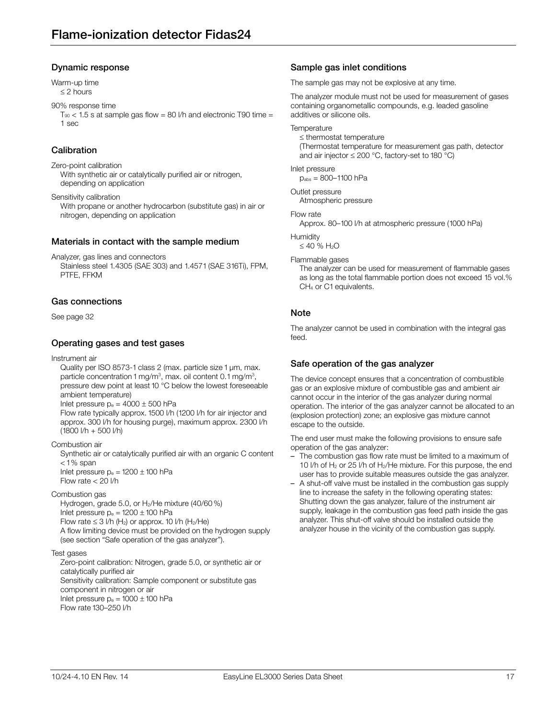### Dynamic response

Warm-up time  $<$  2 hours

#### 90% response time

 $T_{90}$  < 1.5 s at sample gas flow = 80 l/h and electronic T90 time = 1 sec

## Calibration

Zero-point calibration With synthetic air or catalytically purified air or nitrogen, depending on application

Sensitivity calibration With propane or another hydrocarbon (substitute gas) in air or nitrogen, depending on application

### Materials in contact with the sample medium

Analyzer, gas lines and connectors

Stainless steel 1.4305 (SAE 303) and 1.4571 (SAE 316Ti), FPM, PTFE, FFKM

### Gas connections

See page 32

### Operating gases and test gases

Instrument air

Quality per ISO 8573-1 class 2 (max. particle size 1 μm, max. particle concentration 1 mg/m $3$ , max. oil content 0.1 mg/m $3$ , pressure dew point at least 10 °C below the lowest foreseeable ambient temperature)

Inlet pressure  $p_e = 4000 \pm 500$  hPa Flow rate typically approx. 1500 l/h (1200 l/h for air injector and approx. 300 l/h for housing purge), maximum approx. 2300 l/h (1800 l/h + 500 l/h)

#### Combustion air

Synthetic air or catalytically purified air with an organic C content  $< 1\%$  span Inlet pressure  $p_e = 1200 \pm 100$  hPa Flow rate < 20 l/h

### Combustion gas

Hydrogen, grade 5.0, or H2/He mixture (40/60 %) Inlet pressure  $p_e = 1200 \pm 100$  hPa Flow rate  $\leq$  3 l/h (H<sub>2</sub>) or approx. 10 l/h (H<sub>2</sub>/He) A flow limiting device must be provided on the hydrogen supply (see section "Safe operation of the gas analyzer").

#### Test gases

Zero-point calibration: Nitrogen, grade 5.0, or synthetic air or catalytically purified air Sensitivity calibration: Sample component or substitute gas component in nitrogen or air Inlet pressure  $p_e = 1000 \pm 100$  hPa Flow rate 130–250 l/h

### Sample gas inlet conditions

The sample gas may not be explosive at any time.

The analyzer module must not be used for measurement of gases containing organometallic compounds, e.g. leaded gasoline additives or silicone oils.

#### **Temperature**

 $\leq$  thermostat temperature (Thermostat temperature for measurement gas path, detector and air injector  $\leq 200$  °C, factory-set to 180 °C)

#### Inlet pressure

pabs = 800–1100 hPa

Outlet pressure Atmospheric pressure

#### Flow rate

Approx. 80–100 l/h at atmospheric pressure (1000 hPa)

Humidity

 $\leq 40 \%$  H<sub>2</sub>O

#### Flammable gases

The analyzer can be used for measurement of flammable gases as long as the total flammable portion does not exceed 15 vol.% CH4 or C1 equivalents.

### Note

The analyzer cannot be used in combination with the integral gas feed.

### Safe operation of the gas analyzer

The device concept ensures that a concentration of combustible gas or an explosive mixture of combustible gas and ambient air cannot occur in the interior of the gas analyzer during normal operation. The interior of the gas analyzer cannot be allocated to an (explosion protection) zone; an explosive gas mixture cannot escape to the outside.

The end user must make the following provisions to ensure safe operation of the gas analyzer:

- The combustion gas flow rate must be limited to a maximum of 10 I/h of  $H_2$  or 25 I/h of  $H_2$ /He mixture. For this purpose, the end user has to provide suitable measures outside the gas analyzer.
- A shut-off valve must be installed in the combustion gas supply line to increase the safety in the following operating states: Shutting down the gas analyzer, failure of the instrument air supply, leakage in the combustion gas feed path inside the gas analyzer. This shut-off valve should be installed outside the analyzer house in the vicinity of the combustion gas supply.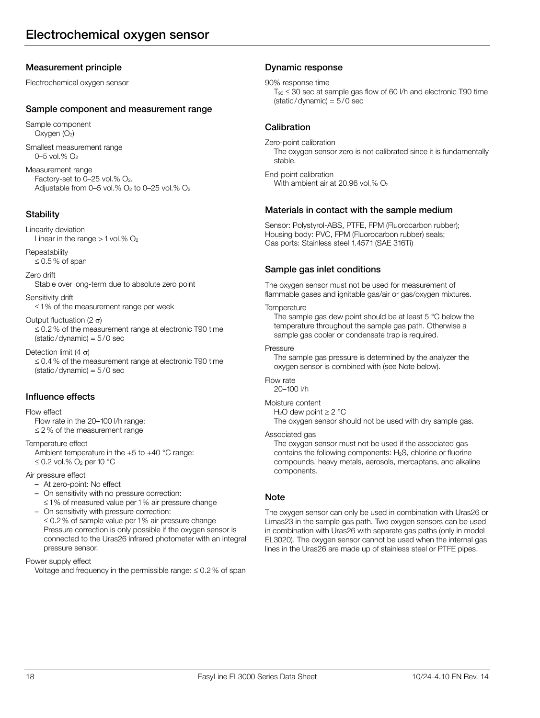Electrochemical oxygen sensor

### Sample component and measurement range

Sample component Oxygen (O<sub>2</sub>)

Smallest measurement range 0–5 vol.% O<sub>2</sub>

Measurement range Factory-set to  $0-25$  vol.%  $O_2$ . Adjustable from  $0-5$  vol.%  $O_2$  to  $0-25$  vol.%  $O_2$ 

# **Stability**

Linearity deviation Linear in the range  $> 1$  vol.% O<sub>2</sub>

**Repeatability**  $\leq$  0.5% of span

Zero drift

Stable over long-term due to absolute zero point

Sensitivity drift

 $\leq$  1% of the measurement range per week

#### Output fluctuation (2  $\sigma$ )

 $\leq$  0.2 % of the measurement range at electronic T90 time  $(static/dynamic) = 5/0 sec$ 

Detection limit (4  $\sigma$ )

 $\leq$  0.4 % of the measurement range at electronic T90 time (static/dynamic) = 5/0 sec

# Influence effects

#### Flow effect

Flow rate in the 20–100 l/h range:  $\leq$  2% of the measurement range

### Temperature effect

Ambient temperature in the +5 to +40 °C range:  $\leq$  0.2 vol.% O<sub>2</sub> per 10 °C

#### Air pressure effect

- At zero-point: No effect
- On sensitivity with no pressure correction:  $\leq$  1% of measured value per 1% air pressure change
- On sensitivity with pressure correction:  $\leq$  0.2 % of sample value per 1% air pressure change Pressure correction is only possible if the oxygen sensor is connected to the Uras26 infrared photometer with an integral pressure sensor.

Power supply effect

Voltage and frequency in the permissible range:  $\leq 0.2$ % of span

### Dynamic response

#### 90% response time

 $T_{90} \leq 30$  sec at sample gas flow of 60 l/h and electronic T90 time  $(static/dynamic) = 5/0 sec$ 

### Calibration

Zero-point calibration

The oxygen sensor zero is not calibrated since it is fundamentally stable.

End-point calibration

With ambient air at 20.96 vol.%  $O<sub>2</sub>$ 

### Materials in contact with the sample medium

Sensor: Polystyrol-ABS, PTFE, FPM (Fluorocarbon rubber); Housing body: PVC, FPM (Fluorocarbon rubber) seals; Gas ports: Stainless steel 1.4571 (SAE 316Ti)

# Sample gas inlet conditions

The oxygen sensor must not be used for measurement of flammable gases and ignitable gas/air or gas/oxygen mixtures.

#### **Temperature**

The sample gas dew point should be at least 5 °C below the temperature throughout the sample gas path. Otherwise a sample gas cooler or condensate trap is required.

#### Prossure

The sample gas pressure is determined by the analyzer the oxygen sensor is combined with (see Note below).

### Flow rate

20–100 l/h

# Moisture content

H<sub>2</sub>O dew point  $\geq$  2 °C

The oxygen sensor should not be used with dry sample gas.

#### Associated gas

The oxygen sensor must not be used if the associated gas contains the following components: H2S, chlorine or fluorine compounds, heavy metals, aerosols, mercaptans, and alkaline components.

### **Note**

The oxygen sensor can only be used in combination with Uras26 or Limas23 in the sample gas path. Two oxygen sensors can be used in combination with Uras26 with separate gas paths (only in model EL3020). The oxygen sensor cannot be used when the internal gas lines in the Uras26 are made up of stainless steel or PTFE pipes.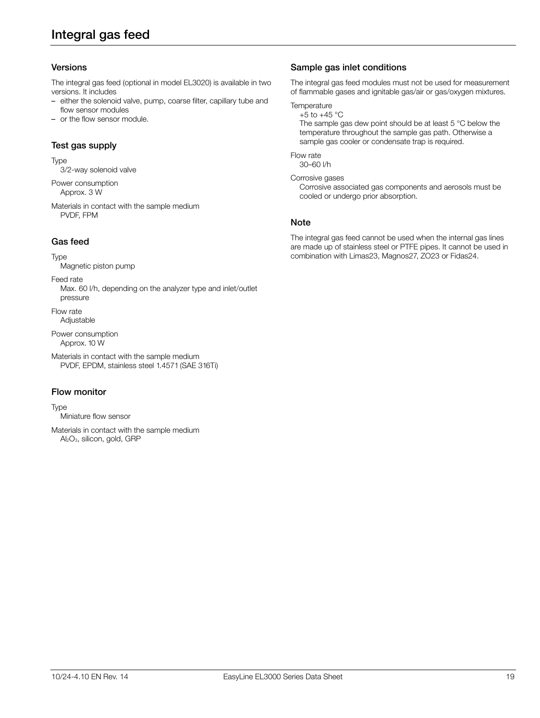### Versions

The integral gas feed (optional in model EL3020) is available in two versions. It includes

- either the solenoid valve, pump, coarse filter, capillary tube and flow sensor modules
- or the flow sensor module.

### Test gas supply

Type 3/2-way solenoid valve

Power consumption Approx. 3 W

Materials in contact with the sample medium PVDF, FPM

### Gas feed

Type

Magnetic piston pump

Feed rate

Max. 60 l/h, depending on the analyzer type and inlet/outlet pressure

Flow rate Adjustable

Power consumption Approx. 10 W

Materials in contact with the sample medium PVDF, EPDM, stainless steel 1.4571 (SAE 316Ti)

### Flow monitor

Type

Miniature flow sensor

Materials in contact with the sample medium Al2O3, silicon, gold, GRP

### Sample gas inlet conditions

The integral gas feed modules must not be used for measurement of flammable gases and ignitable gas/air or gas/oxygen mixtures.

**Temperature** 

 $+5$  to  $+45$  °C

The sample gas dew point should be at least 5 °C below the temperature throughout the sample gas path. Otherwise a sample gas cooler or condensate trap is required.

Flow rate

30–60 l/h

Corrosive gases

Corrosive associated gas components and aerosols must be cooled or undergo prior absorption.

### Note

The integral gas feed cannot be used when the internal gas lines are made up of stainless steel or PTFE pipes. It cannot be used in combination with Limas23, Magnos27, ZO23 or Fidas24.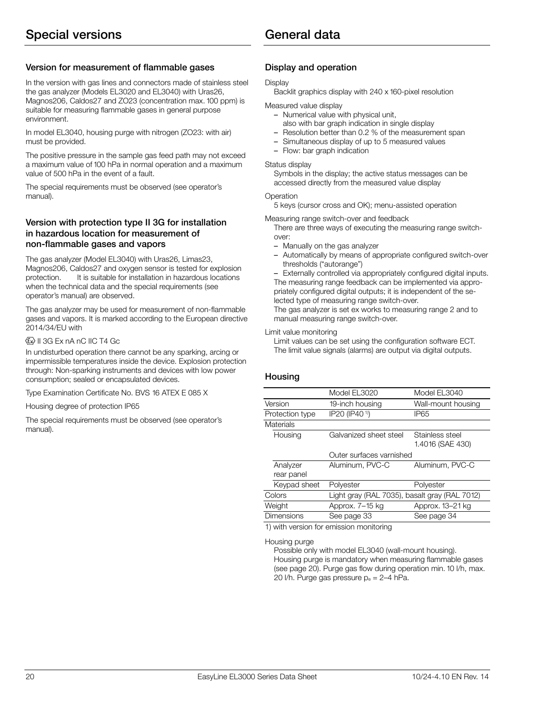# Version for measurement of flammable gases

In the version with gas lines and connectors made of stainless steel the gas analyzer (Models EL3020 and EL3040) with Uras26, Magnos206, Caldos27 and ZO23 (concentration max. 100 ppm) is suitable for measuring flammable gases in general purpose environment.

In model EL3040, housing purge with nitrogen (ZO23: with air) must be provided.

The positive pressure in the sample gas feed path may not exceed a maximum value of 100 hPa in normal operation and a maximum value of 500 hPa in the event of a fault.

The special requirements must be observed (see operator's manual).

### Version with protection type II 3G for installation in hazardous location for measurement of non-flammable gases and vapors

The gas analyzer (Model EL3040) with Uras26, Limas23, Magnos206, Caldos27 and oxygen sensor is tested for explosion<br>protection. It is suitable for installation in hazardous locations It is suitable for installation in hazardous locations when the technical data and the special requirements (see operator's manual) are observed.

The gas analyzer may be used for measurement of non-flammable gases and vapors. It is marked according to the European directive 2014/34/EU with

### $\textcircled{k}$  II 3G Ex nA nC IIC T4 Gc

In undisturbed operation there cannot be any sparking, arcing or impermissible temperatures inside the device. Explosion protection through: Non-sparking instruments and devices with low power consumption; sealed or encapsulated devices.

Type Examination Certificate No. BVS 16 ATEX E 085 X

Housing degree of protection IP65

The special requirements must be observed (see operator's manual).

# Display and operation

#### **Display**

Backlit graphics display with 240 x 160-pixel resolution

#### Measured value display

- Numerical value with physical unit,
- also with bar graph indication in single display
- Resolution better than 0.2 % of the measurement span
- Simultaneous display of up to 5 measured values
- Flow: bar graph indication

#### Status display

Symbols in the display; the active status messages can be accessed directly from the measured value display

#### **Operation**

5 keys (cursor cross and OK); menu-assisted operation

Measuring range switch-over and feedback

There are three ways of executing the measuring range switchover:

- Manually on the gas analyzer
- Automatically by means of appropriate configured switch-over thresholds ("autorange")

– Externally controlled via appropriately configured digital inputs. The measuring range feedback can be implemented via appropriately configured digital outputs; it is independent of the se-

lected type of measuring range switch-over.

The gas analyzer is set ex works to measuring range 2 and to manual measuring range switch-over.

#### Limit value monitoring

Limit values can be set using the configuration software ECT. The limit value signals (alarms) are output via digital outputs.

### Housing

|                        | Model EL3020                                  | Model EL3040                        |
|------------------------|-----------------------------------------------|-------------------------------------|
| Version                | 19-inch housing                               | Wall-mount housing                  |
| Protection type        | IP20 (IP40 <sup>1)</sup> )                    | IP65                                |
| Materials              |                                               |                                     |
| Housing                | Galvanized sheet steel                        | Stainless steel<br>1.4016 (SAE 430) |
|                        | Outer surfaces varnished                      |                                     |
| Analyzer<br>rear panel | Aluminum, PVC-C                               | Aluminum, PVC-C                     |
| Keypad sheet           | Polyester                                     | Polyester                           |
| Colors                 | Light gray (RAL 7035), basalt gray (RAL 7012) |                                     |
| Weight                 | Approx. 7-15 kg                               | Approx. 13-21 kg                    |
| <b>Dimensions</b>      | See page 33                                   | See page 34                         |
|                        |                                               |                                     |

1) with version for emission monitoring

Housing purge

Possible only with model EL3040 (wall-mount housing). Housing purge is mandatory when measuring flammable gases (see page 20). Purge gas flow during operation min. 10 l/h, max. 20 l/h. Purge gas pressure  $p_e = 2-4$  hPa.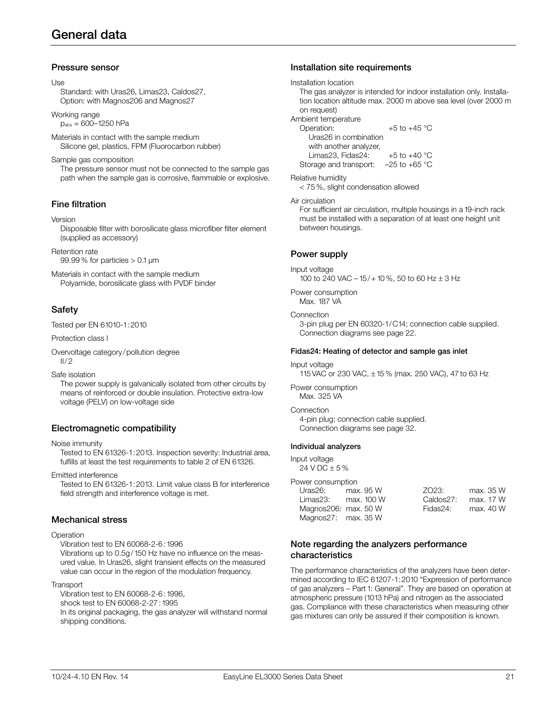### Pressure sensor

#### Use

Standard: with Uras26, Limas23, Caldos27, Option: with Magnos206 and Magnos27

Working range

pabs = 600–1250 hPa

Materials in contact with the sample medium Silicone gel, plastics, FPM (Fluorocarbon rubber)

Sample gas composition

The pressure sensor must not be connected to the sample gas path when the sample gas is corrosive, flammable or explosive.

# Fine filtration

#### Version

Disposable filter with borosilicate glass microfiber filter element (supplied as accessory)

Retention rate 99.99 % for particles > 0.1 μm

Materials in contact with the sample medium Polyamide, borosilicate glass with PVDF binder

# Safety

Tested per EN 61010-1:2010

Protection class I

Overvoltage category/pollution degree  $II/2$ 

Safe isolation

The power supply is galvanically isolated from other circuits by means of reinforced or double insulation. Protective extra-low voltage (PELV) on low-voltage side

### Electromagnetic compatibility

#### Noise immunity

Tested to EN 61326-1:2013. Inspection severity: Industrial area, fulfills at least the test requirements to table 2 of EN 61326.

Emitted interference

Tested to EN 61326-1:2013. Limit value class B for interference field strength and interference voltage is met.

### Mechanical stress

#### Operation

Vibration test to EN 60068-2-6:1996

Vibrations up to 0.5g/150 Hz have no influence on the measured value. In Uras26, slight transient effects on the measured value can occur in the region of the modulation frequency.

#### **Transport**

Vibration test to EN 60068-2-6:1996,

shock test to EN 60068-2-27:1995

In its original packaging, the gas analyzer will withstand normal shipping conditions.

### Installation site requirements

#### Installation location

The gas analyzer is intended for indoor installation only. Installation location altitude max. 2000 m above sea level (over 2000 m on request)

# Ambient temperature<br>Coneration

 $+5$  to  $+45$  °C Uras26 in combination with another analyzer, Limas23, Fidas24:  $+5$  to  $+40$  °C Storage and transport: –25 to +65 °C

Relative humidity

< 75 %, slight condensation allowed

#### Air circulation

For sufficient air circulation, multiple housings in a 19-inch rack must be installed with a separation of at least one height unit between housings.

### Power supply

#### Input voltage

100 to 240 VAC – 15/+ 10%, 50 to 60 Hz  $\pm$  3 Hz

Power consumption Max. 187 VA

Connection

3-pin plug per EN 60320-1/C14; connection cable supplied. Connection diagrams see page 22.

#### Fidas24: Heating of detector and sample gas inlet

#### Input voltage

115 VAC or 230 VAC, ± 15 % (max. 250 VAC), 47 to 63 Hz

Power consumption Max. 325 VA

Connection 4-pin plug; connection cable supplied. Connection diagrams see page 32.

### Individual analyzers

Input voltage  $24 V D C + 5 \%$ 

Power consumption

| Uras26:               | max. 95 W | ZO23:     | max. 35 W |
|-----------------------|-----------|-----------|-----------|
| $Limas23:$ max, 100 W |           | Caldos27: | max. 17 W |
| Magnos206: max. 50 W  |           | Fidas24:  | max. 40 W |
| Magnos27: max. 35 W   |           |           |           |
|                       |           |           |           |

# Note regarding the analyzers performance characteristics

The performance characteristics of the analyzers have been determined according to IEC 61207-1:2010 "Expression of performance of gas analyzers – Part 1: General". They are based on operation at atmospheric pressure (1013 hPa) and nitrogen as the associated gas. Compliance with these characteristics when measuring other gas mixtures can only be assured if their composition is known.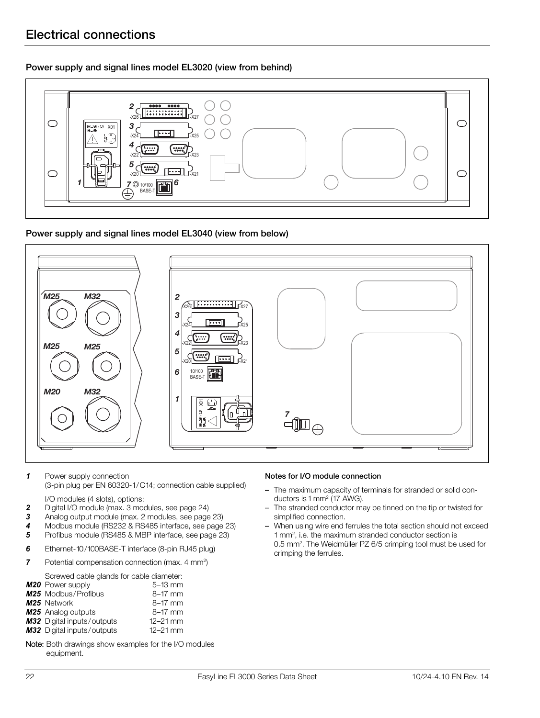Power supply and signal lines model EL3020 (view from behind)



# Power supply and signal lines model EL3040 (view from below)



*1* Power supply connection (3-pin plug per EN 60320-1/C14; connection cable supplied)

I/O modules (4 slots), options:

- *2* Digital I/O module (max. 3 modules, see page 24)
- *3* Analog output module (max. 2 modules, see page 23)
- *4* Modbus module (RS232 & RS485 interface, see page 23)
- *5* Profibus module (RS485 & MBP interface, see page 23)
- *6* Ethernet-10/100BASE-T interface (8-pin RJ45 plug)
- **7** Potential compensation connection (max. 4 mm<sup>2</sup>)

| Screwed cable glands for cable diameter: |  |  |
|------------------------------------------|--|--|
| $\blacksquare$                           |  |  |

| $5-13$ mm                                                                                                                                                            |
|----------------------------------------------------------------------------------------------------------------------------------------------------------------------|
| $8-17$ mm                                                                                                                                                            |
| 8-17 mm                                                                                                                                                              |
| $8-17$ mm                                                                                                                                                            |
| $12 - 21$ mm                                                                                                                                                         |
| $12 - 21$ mm                                                                                                                                                         |
| <b>M20</b> Power supply<br><b>M25</b> Modbus/Profibus<br>M25 Network<br><b>M25</b> Analog outputs<br><b>M32</b> Digital inputs/outputs<br>M32 Digital inputs/outputs |

Note: Both drawings show examples for the I/O modules equipment.

### Notes for I/O module connection

- The maximum capacity of terminals for stranded or solid conductors is 1 mm2 (17 AWG).
- The stranded conductor may be tinned on the tip or twisted for simplified connection.
- When using wire end ferrules the total section should not exceed 1 mm2 , i.e. the maximum stranded conductor section is 0.5 mm2 . The Weidmüller PZ 6/5 crimping tool must be used for crimping the ferrules.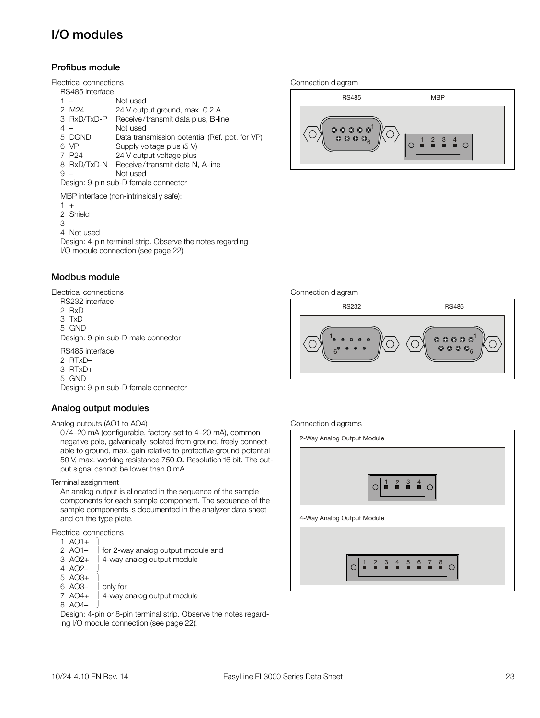# Profibus module

Electrical connections

| RS485 interface:  |                                                |  |  |
|-------------------|------------------------------------------------|--|--|
|                   | Not used                                       |  |  |
| 2 M24             | 24 V output ground, max. 0.2 A                 |  |  |
| 3 RxD/TxD-P       | Receive/transmit data plus, B-line             |  |  |
|                   | Not used                                       |  |  |
| 5 DGND            | Data transmission potential (Ref. pot. for VP) |  |  |
| 6 VP              | Supply voltage plus (5 V)                      |  |  |
| 7 P <sub>24</sub> | 24 V output voltage plus                       |  |  |
|                   | 8 RxD/TxD-N Receive/transmit data N, A-line    |  |  |
| 9 –               | Not used                                       |  |  |
|                   | Design: 9-pin sub-D female connector           |  |  |
| MDD:              |                                                |  |  |

MBP interface (non-intrinsically safe):

- $1 +$
- 2 Shield
- 3 –
- 4 Not used

Design: 4-pin terminal strip. Observe the notes regarding I/O module connection (see page 22)!

# Modbus module

Electrical connections RS232 interface: 2 RxD 3 TxD 5 GND Design: 9-pin sub-D male connector RS485 interface: 2 RTxD– 3 RTxD+ 5 GND

Design: 9-pin sub-D female connector

# Analog output modules

Analog outputs (AO1 to AO4)

0/4–20 mA (configurable, factory-set to 4–20 mA), common negative pole, galvanically isolated from ground, freely connectable to ground, max. gain relative to protective ground potential 50 V, max. working resistance 750  $\Omega$ . Resolution 16 bit. The output signal cannot be lower than 0 mA.

Terminal assignment

An analog output is allocated in the sequence of the sample components for each sample component. The sequence of the sample components is documented in the analyzer data sheet and on the type plate.

Electrical connections

| $1$ AO1+              |                                             |
|-----------------------|---------------------------------------------|
|                       | 2 AO1-   for 2-way analog output module and |
|                       | $3$ AO2+ $\vert$ 4-way analog output module |
| 4 AO <sub>2</sub> $-$ |                                             |
| $5$ AO3+              |                                             |
|                       | $6$ AO3- $\vert$ only for                   |
|                       | 7 AO4+ $\vert$ 4-way analog output module   |
|                       |                                             |

Design: 4-pin or 8-pin terminal strip. Observe the notes regarding I/O module connection (see page 22)!





Connection diagram





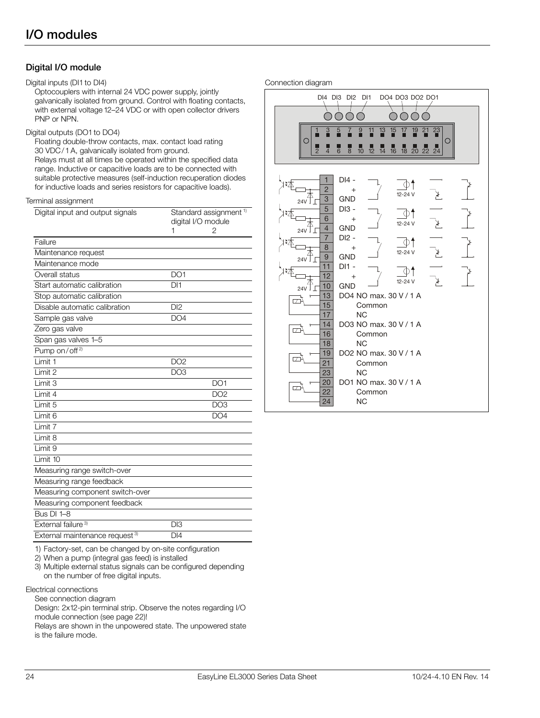# Digital I/O module

Digital inputs (DI1 to DI4)

Optocouplers with internal 24 VDC power supply, jointly galvanically isolated from ground. Control with floating contacts, with external voltage 12–24 VDC or with open collector drivers PNP or NPN.

#### Digital outputs (DO1 to DO4)

Floating double-throw contacts, max. contact load rating 30 VDC/1 A, galvanically isolated from ground.

Relays must at all times be operated within the specified data range. Inductive or capacitive loads are to be connected with suitable protective measures (self-induction recuperation diodes for inductive loads and series resistors for capacitive loads).

#### Terminal assignment

| Digital input and output signals           | Standard assignment <sup>1)</sup><br>digital I/O module |  |
|--------------------------------------------|---------------------------------------------------------|--|
|                                            | 1<br>2                                                  |  |
| Failure                                    |                                                         |  |
| Maintenance request                        |                                                         |  |
| Maintenance mode                           |                                                         |  |
| Overall status                             | DO <sub>1</sub>                                         |  |
| Start automatic calibration                | DI1                                                     |  |
| Stop automatic calibration                 |                                                         |  |
| Disable automatic calibration              | DI2                                                     |  |
| Sample gas valve                           | DO <sub>4</sub>                                         |  |
| Zero gas valve                             |                                                         |  |
| Span gas valves 1-5                        |                                                         |  |
| Pump on/off <sup>2)</sup>                  |                                                         |  |
| Limit 1                                    | $\overline{DO2}$                                        |  |
| Limit 2                                    | DO <sub>3</sub>                                         |  |
| Limit 3                                    | DO <sub>1</sub>                                         |  |
| Limit 4                                    | DO <sub>2</sub>                                         |  |
| Limit 5                                    | DO <sub>3</sub>                                         |  |
| Limit 6                                    | DO <sub>4</sub>                                         |  |
| Limit 7                                    |                                                         |  |
| Limit 8                                    |                                                         |  |
| Limit 9                                    |                                                         |  |
| Limit 10                                   |                                                         |  |
| Measuring range switch-over                |                                                         |  |
| Measuring range feedback                   |                                                         |  |
| Measuring component switch-over            |                                                         |  |
| Measuring component feedback               |                                                         |  |
| Bus DI 1-8                                 |                                                         |  |
| External failure <sup>3)</sup>             | DI <sub>3</sub>                                         |  |
| External maintenance request <sup>3)</sup> | DI4                                                     |  |

1) Factory-set, can be changed by on-site configuration

2) When a pump (integral gas feed) is installed

3) Multiple external status signals can be configured depending on the number of free digital inputs.

#### Electrical connections

See connection diagram

Design: 2x12-pin terminal strip. Observe the notes regarding I/O module connection (see page 22)!

Relays are shown in the unpowered state. The unpowered state is the failure mode.

#### Connection diagram

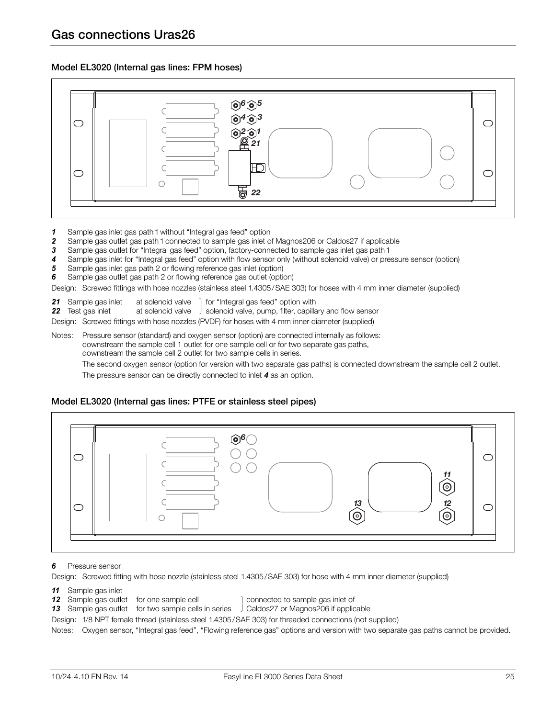# Model EL3020 (Internal gas lines: FPM hoses)



- *1* Sample gas inlet gas path 1 without "Integral gas feed" option
- *2* Sample gas outlet gas path 1 connected to sample gas inlet of Magnos206 or Caldos27 if applicable
- **3** Sample gas outlet for "Integral gas feed" option, factory-connected to sample gas inlet gas path 1<br>**4** Sample gas inlet for "Integral gas feed" option with flow sensor only (without solenoid valve) or pre
- *4* Sample gas inlet for "Integral gas feed" option with flow sensor only (without solenoid valve) or pressure sensor (option)<br>5 Sample gas inlet gas path 2 or flowing reference gas inlet (option)
- *5* Sample gas inlet gas path 2 or flowing reference gas inlet (option)
- *6* Sample gas outlet gas path 2 or flowing reference gas outlet (option)

Design: Screwed fittings with hose nozzles (stainless steel 1.4305/SAE 303) for hoses with 4 mm inner diameter (supplied)

- 21 Sample gas inlet at solenoid valve ) for "Integral gas feed" option with <br>22 Test gas inlet at solenoid valve ) solenoid valve, pump, filter, capilla
- <sup>2</sup> solenoid valve, pump, filter, capillary and flow sensor

Design: Screwed fittings with hose nozzles (PVDF) for hoses with 4 mm inner diameter (supplied)

Notes: Pressure sensor (standard) and oxygen sensor (option) are connected internally as follows: downstream the sample cell 1 outlet for one sample cell or for two separate gas paths, downstream the sample cell 2 outlet for two sample cells in series.

 The second oxygen sensor (option for version with two separate gas paths) is connected downstream the sample cell 2 outlet. The pressure sensor can be directly connected to inlet *4* as an option.

### Model EL3020 (Internal gas lines: PTFE or stainless steel pipes)



### *6* Pressure sensor

Design: Screwed fitting with hose nozzle (stainless steel 1.4305/SAE 303) for hose with 4 mm inner diameter (supplied)

- *11* Sample gas inlet
- 12 Sample gas outlet for one sample cell connected to sample gas inlet of **13** Sample gas outlet for two sample cells in series Caldos27 or Magnos206 if applicable
	-
- **13** Sample gas outlet for two sample cells in series

Design: 1/8 NPT female thread (stainless steel 1.4305/SAE 303) for threaded connections (not supplied)

Notes: Oxygen sensor, "Integral gas feed", "Flowing reference gas" options and version with two separate gas paths cannot be provided.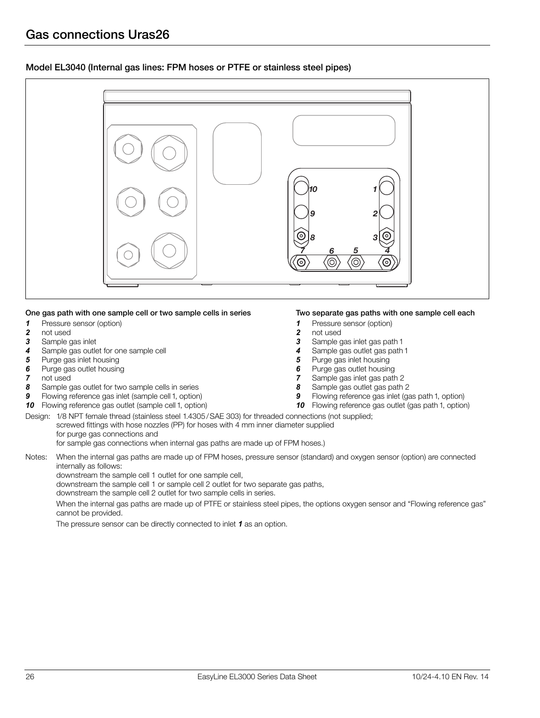# Model EL3040 (Internal gas lines: FPM hoses or PTFE or stainless steel pipes)



### One gas path with one sample cell or two sample cells in series

- 1 Pressure sensor (option)<br>2 not used
- *2* not used
- *3* Sample gas inlet
- *4* Sample gas outlet for one sample cell
- **5** Purge gas inlet housing<br>**6** Purge gas outlet housin
- **6** Purge gas outlet housing<br>**7** not used
- 7 not used<br>8 Sample of
- *8* Sample gas outlet for two sample cells in series
- **9** Flowing reference gas inlet (sample cell 1, option)
- *10* Flowing reference gas outlet (sample cell 1, option)

#### Two separate gas paths with one sample cell each

- 1 Pressure sensor (option)<br>2 not used
- *2* not used
- *3* Sample gas inlet gas path 1
- **4** Sample gas outlet gas path 1<br>**5** Purge gas inlet housing
- **5** Purge gas inlet housing<br>**6** Purge gas outlet housing
- *6* Purge gas outlet housing
- **7** Sample gas inlet gas path 2<br>**8** Sample gas outlet gas path
- *8* Sample gas outlet gas path 2
- **9** Flowing reference gas inlet (gas path 1, option)
- **10** Flowing reference gas outlet (gas path 1, option)
- Design: 1/8 NPT female thread (stainless steel 1.4305/SAE 303) for threaded connections (not supplied; screwed fittings with hose nozzles (PP) for hoses with 4 mm inner diameter supplied for purge gas connections and for sample gas connections when internal gas paths are made up of FPM hoses.)
- Notes: When the internal gas paths are made up of FPM hoses, pressure sensor (standard) and oxygen sensor (option) are connected internally as follows:
	- downstream the sample cell 1 outlet for one sample cell,

downstream the sample cell 1 or sample cell 2 outlet for two separate gas paths,

downstream the sample cell 2 outlet for two sample cells in series.

 When the internal gas paths are made up of PTFE or stainless steel pipes, the options oxygen sensor and "Flowing reference gas" cannot be provided.

The pressure sensor can be directly connected to inlet *1* as an option.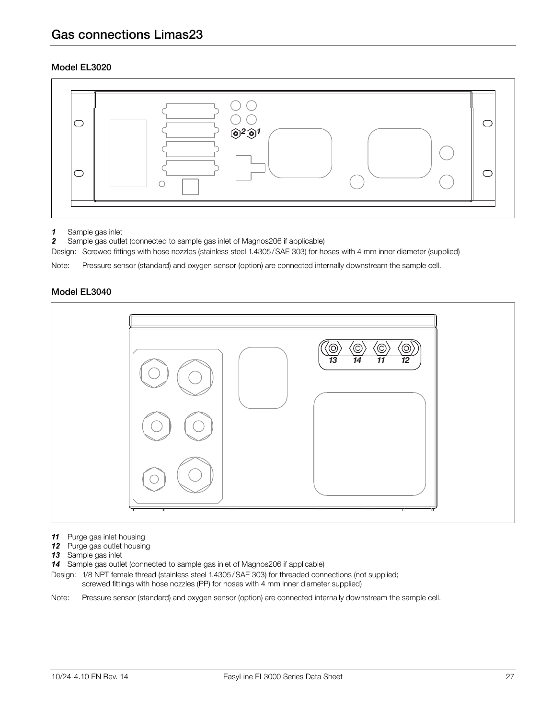

# 1 Sample gas inlet<br>2 Sample gas outle

*2* Sample gas outlet (connected to sample gas inlet of Magnos206 if applicable)

Design: Screwed fittings with hose nozzles (stainless steel 1.4305/SAE 303) for hoses with 4 mm inner diameter (supplied)

Note: Pressure sensor (standard) and oxygen sensor (option) are connected internally downstream the sample cell.

# Model EL3040



- *11* Purge gas inlet housing
- 12 Purge gas outlet housing<br>13 Sample gas inlet
- *13* Sample gas inlet
- *14* Sample gas outlet (connected to sample gas inlet of Magnos206 if applicable)
- Design: 1/8 NPT female thread (stainless steel 1.4305/SAE 303) for threaded connections (not supplied; screwed fittings with hose nozzles (PP) for hoses with 4 mm inner diameter supplied)
- Note: Pressure sensor (standard) and oxygen sensor (option) are connected internally downstream the sample cell.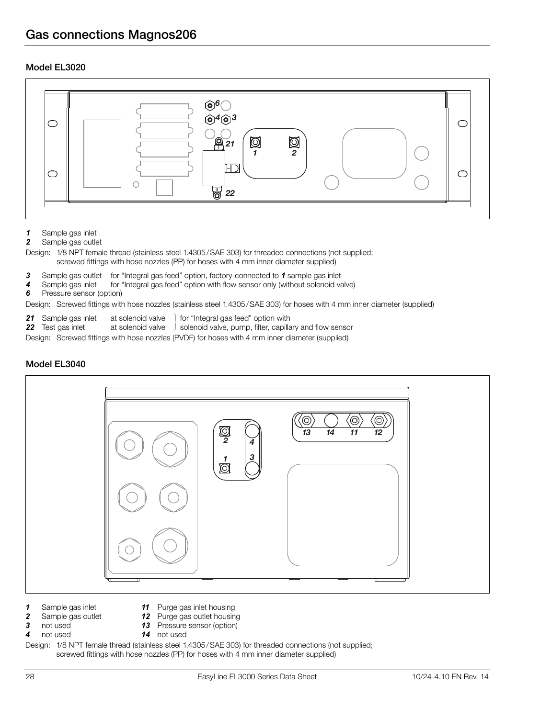

- *1* Sample gas inlet
- *2* Sample gas outlet

Design: 1/8 NPT female thread (stainless steel 1.4305/SAE 303) for threaded connections (not supplied; screwed fittings with hose nozzles (PP) for hoses with 4 mm inner diameter supplied)

- **3** Sample gas outlet for "Integral gas feed" option, factory-connected to **1** sample gas inlet **4** Sample gas inlet for "Integral gas feed" option with flow sensor only (without solenoid va
- 4 Sample gas inlet for "Integral gas feed" option with flow sensor only (without solenoid valve)<br>6 Pressure sensor (option)
- Pressure sensor (option)

Design: Screwed fittings with hose nozzles (stainless steel 1.4305/SAE 303) for hoses with 4 mm inner diameter (supplied)

- *21* Sample gas inlet at solenoid valve for "Integral gas feed" option with
	- at solenoid valve  $\int$  solenoid valve, pump, filter, capillary and flow sensor

Design: Screwed fittings with hose nozzles (PVDF) for hoses with 4 mm inner diameter (supplied)

# Model EL3040



- 1 Sample gas inlet<br>2 Sample gas outlet
- 2 Sample gas outlet<br>3 not used
- *3* not used *4* not used
- **13** Pressure sensor (option) *14* not used
- Design: 1/8 NPT female thread (stainless steel 1.4305/SAE 303) for threaded connections (not supplied; screwed fittings with hose nozzles (PP) for hoses with  $4$  mm inner diameter supplied)

*11* Purge gas inlet housing *12* Purge gas outlet housing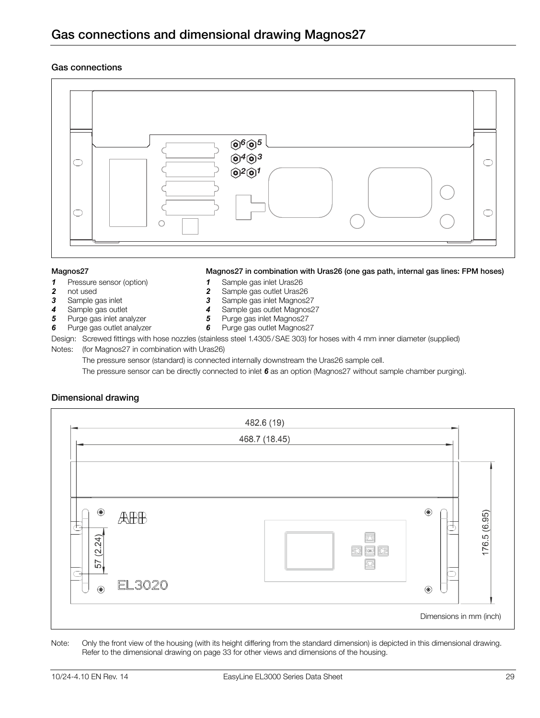### Gas connections



Magnos27 in combination with Uras26 (one gas path, internal gas lines: FPM hoses)

#### Magnos27

- *1* Pressure sensor (option)
- *2* not used
- 
- *3* Sample gas inlet *4* Sample gas outlet
- *5* Purge gas inlet analyzer
- *6* Purge gas outlet analyzer
- 

# Design: Screwed fittings with hose nozzles (stainless steel 1.4305/SAE 303) for hoses with 4 mm inner diameter (supplied)

Notes: (for Magnos27 in combination with Uras26)

The pressure sensor (standard) is connected internally downstream the Uras26 sample cell.

 Sample gas inlet Uras26 Sample gas outlet Uras26 Sample gas inlet Magnos27<br>**4** Sample gas outlet Magnos2 4 Sample gas outlet Magnos27<br>**5** Purge gas inlet Magnos27 Purge gas inlet Magnos27<br>**6** Purge gas outlet Magnos2 Purge gas outlet Magnos27

The pressure sensor can be directly connected to inlet *6* as an option (Magnos27 without sample chamber purging).

### Dimensional drawing



Note: Only the front view of the housing (with its height differing from the standard dimension) is depicted in this dimensional drawing. Refer to the dimensional drawing on page 33 for other views and dimensions of the housing.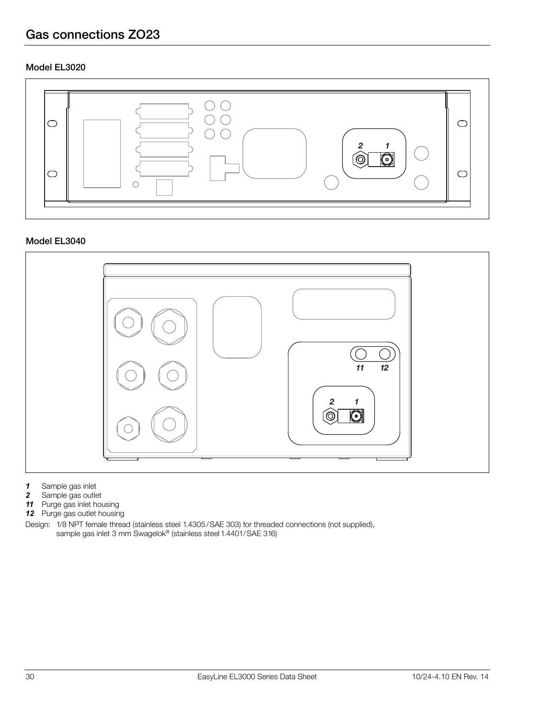

# Model EL3040



- *1* Sample gas inlet
- *2* Sample gas outlet
- *11* Purge gas inlet housing
- *12* Purge gas outlet housing
- Design: 1/8 NPT female thread (stainless steel 1.4305/SAE 303) for threaded connections (not supplied), sample gas inlet 3 mm Swagelok® (stainless steel 1.4401/SAE 316)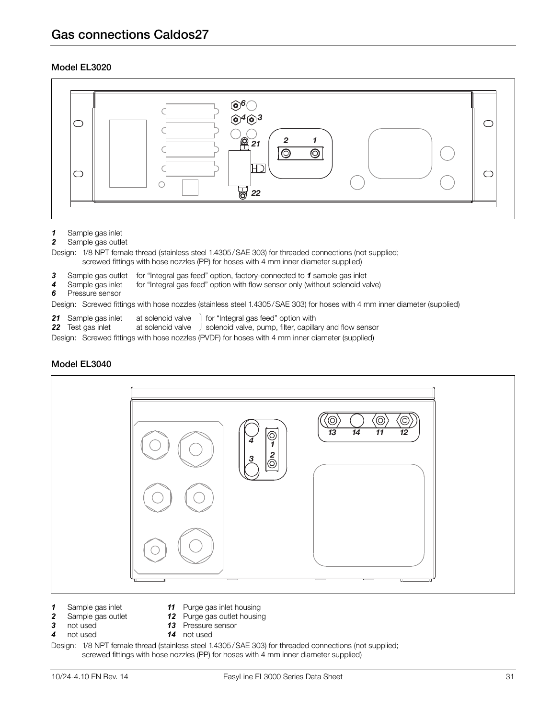

- *1* Sample gas inlet
- *2* Sample gas outlet

Design: 1/8 NPT female thread (stainless steel 1.4305/SAE 303) for threaded connections (not supplied; screwed fittings with hose nozzles (PP) for hoses with 4 mm inner diameter supplied)

- **3** Sample gas outlet for "Integral gas feed" option, factory-connected to **1** sample gas inlet **4** Sample gas inlet for "Integral gas feed" option with flow sensor only (without solenoid va
- for "Integral gas feed" option with flow sensor only (without solenoid valve)
- *6* Pressure sensor

Design: Screwed fittings with hose nozzles (stainless steel 1.4305/SAE 303) for hoses with 4 mm inner diameter (supplied)

- 21 Sample gas inlet at solenoid valve different of "Integral gas feed" option with 22 Test gas inlet at solenoid valve differencial valve, pump, filter, capilla
- at solenoid valve  $\int$  solenoid valve, pump, filter, capillary and flow sensor

Design: Screwed fittings with hose nozzles (PVDF) for hoses with 4 mm inner diameter (supplied)

### Model EL3040



- *1* Sample gas inlet
- *11* Purge gas inlet housing
- 2 Sample gas outlet<br>3 not used *3* not used

*4* not used

- *12* Purge gas outlet housing *13* Pressure sensor
- *14* not used

Design: 1/8 NPT female thread (stainless steel 1.4305/SAE 303) for threaded connections (not supplied; screwed fittings with hose nozzles (PP) for hoses with 4 mm inner diameter supplied)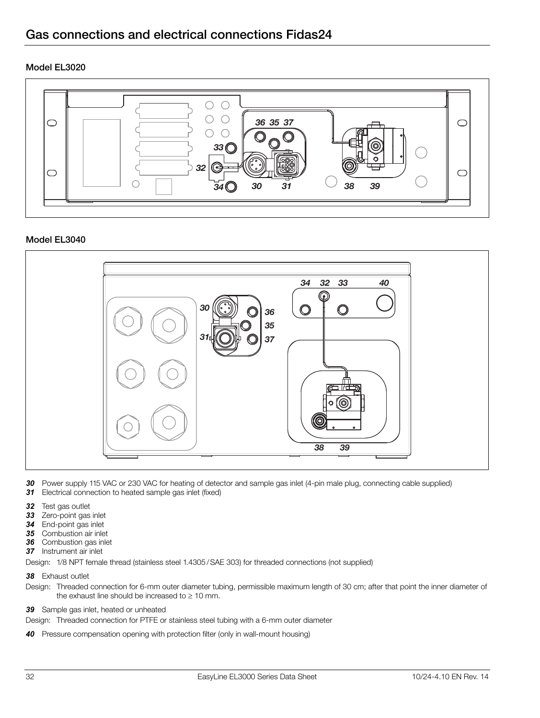

### Model EL3040



 Power supply 115 VAC or 230 VAC for heating of detector and sample gas inlet (4-pin male plug, connecting cable supplied) Electrical connection to heated sample gas inlet (fixed)

- Test gas outlet
- Zero-point gas inlet
- End-point gas inlet
- Combustion air inlet
- Combustion gas inlet
- Instrument air inlet

Design: 1/8 NPT female thread (stainless steel 1.4305/SAE 303) for threaded connections (not supplied)

Exhaust outlet

Design: Threaded connection for 6-mm outer diameter tubing, permissible maximum length of 30 cm; after that point the inner diameter of the exhaust line should be increased to  $\geq 10$  mm.

Sample gas inlet, heated or unheated

Design: Threaded connection for PTFE or stainless steel tubing with a 6-mm outer diameter

Pressure compensation opening with protection filter (only in wall-mount housing)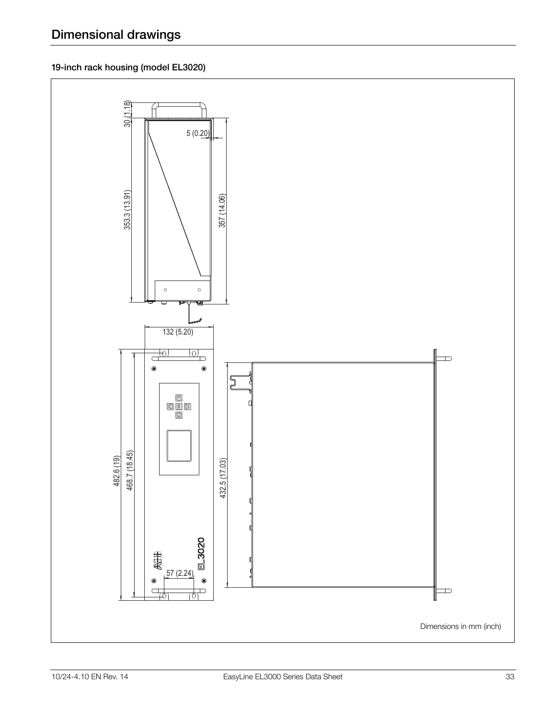# 19-inch rack housing (model EL3020)

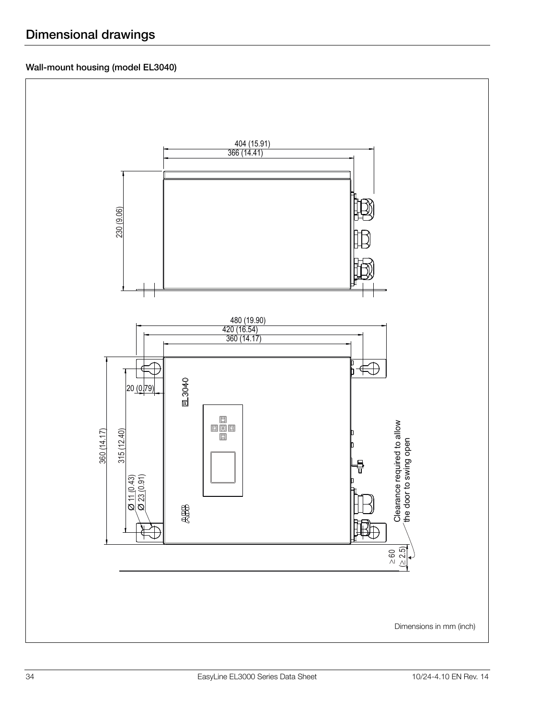# Wall-mount housing (model EL3040)

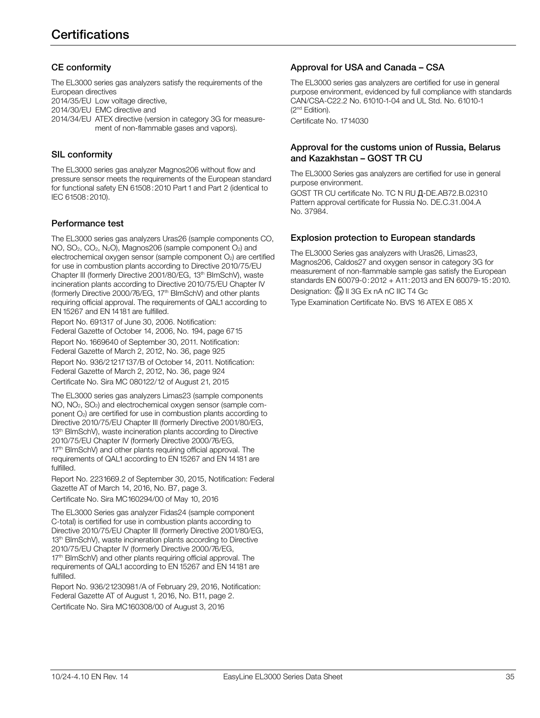# CE conformity

The EL3000 series gas analyzers satisfy the requirements of the European directives

2014/35/EU Low voltage directive,

2014/30/EU EMC directive and

2014/34/EU ATEX directive (version in category 3G for measurement of non-flammable gases and vapors).

# SIL conformity

The EL3000 series gas analyzer Magnos206 without flow and pressure sensor meets the requirements of the European standard for functional safety EN 61508:2010 Part 1 and Part 2 (identical to IEC 61508:2010).

# Performance test

The EL3000 series gas analyzers Uras26 (sample components CO, NO, SO<sub>2</sub>, CO<sub>2</sub>, N<sub>2</sub>O), Magnos206 (sample component O<sub>2</sub>) and electrochemical oxygen sensor (sample component O<sub>2</sub>) are certified for use in combustion plants according to Directive 2010/75/EU Chapter III (formerly Directive 2001/80/EG, 13th BImSchV), waste incineration plants according to Directive 2010/75/EU Chapter IV (formerly Directive 2000/76/EG, 17<sup>th</sup> BlmSchV) and other plants requiring official approval. The requirements of QAL1 according to EN 15267 and EN 14181 are fulfilled.

Report No. 691317 of June 30, 2006. Notification: Federal Gazette of October 14, 2006, No. 194, page 6715 Report No. 1669640 of September 30, 2011. Notification: Federal Gazette of March 2, 2012, No. 36, page 925 Report No. 936/21217137/B of October 14, 2011. Notification: Federal Gazette of March 2, 2012, No. 36, page 924 Certificate No. Sira MC 080122/12 of August 21, 2015

The EL3000 series gas analyzers Limas23 (sample components NO, NO2, SO2) and electrochemical oxygen sensor (sample component O2) are certified for use in combustion plants according to Directive 2010/75/EU Chapter III (formerly Directive 2001/80/EG, 13<sup>th</sup> BImSchV), waste incineration plants according to Directive 2010/75/EU Chapter IV (formerly Directive 2000/76/EG, 17<sup>th</sup> BImSchV) and other plants requiring official approval. The requirements of QAL1 according to EN 15267 and EN 14181 are fulfilled.

Report No. 2231669.2 of September 30, 2015, Notification: Federal Gazette AT of March 14, 2016, No. B7, page 3.

Certificate No. Sira MC160294/00 of May 10, 2016

The EL3000 Series gas analyzer Fidas24 (sample component C-total) is certified for use in combustion plants according to Directive 2010/75/EU Chapter III (formerly Directive 2001/80/EG, 13<sup>th</sup> BImSchV), waste incineration plants according to Directive 2010/75/EU Chapter IV (formerly Directive 2000/76/EG, 17<sup>th</sup> BImSchV) and other plants requiring official approval. The requirements of QAL1 according to EN 15267 and EN 14181 are fulfilled.

Report No. 936/21230981/A of February 29, 2016, Notification: Federal Gazette AT of August 1, 2016, No. B11, page 2. Certificate No. Sira MC160308/00 of August 3, 2016

# Approval for USA and Canada – CSA

The EL3000 series gas analyzers are certified for use in general purpose environment, evidenced by full compliance with standards CAN/CSA-C22.2 No. 61010-1-04 and UL Std. No. 61010-1 (2nd Edition).

Certificate No. 1714030

### Approval for the customs union of Russia, Belarus and Kazakhstan – GOST TR CU

The EL3000 Series gas analyzers are certified for use in general purpose environment.

GOST TR CU certificate No. TC N RU Д-DE.AB72.B.02310 Pattern approval certificate for Russia No. DE.C.31.004.A No. 37984.

### Explosion protection to European standards

The EL3000 Series gas analyzers with Uras26, Limas23, Magnos206, Caldos27 and oxygen sensor in category 3G for measurement of non-flammable sample gas satisfy the European standards EN 60079-0:2012 + A11:2013 and EN 60079-15:2010. Designation:  $\circled{E}$  II 3G Ex nA nC IIC T4 Gc Type Examination Certificate No. BVS 16 ATEX E 085 X